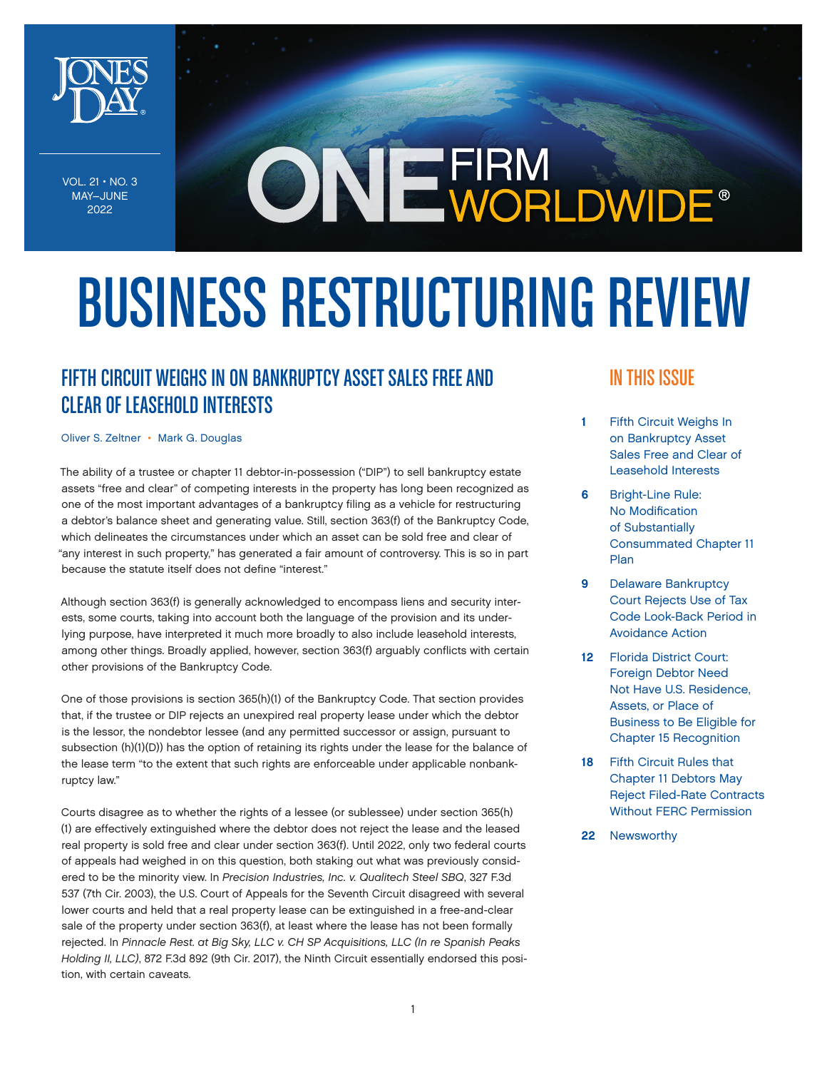

VOL.  $21 \cdot NO. 3$ MAY–JUNE 2022

# ONE FIRM<br>
ONE WORLDWIDE®

# BUSINESS RESTRUCTURING REVIEW

# FIFTH CIRCUIT WEIGHS IN ON BANKRUPTCY ASSET SALES FREE AND CLEAR OF LEASEHOLD INTERESTS

[Oliver S. Zeltner](https://www.jonesday.com/en/lawyers/z/oliver-zeltner?tab=overview) • [Mark G. Douglas](https://www.jonesday.com/en/lawyers/d/mark-douglas?tab=overview)

The ability of a trustee or chapter 11 debtor-in-possession ("DIP") to sell bankruptcy estate assets "free and clear" of competing interests in the property has long been recognized as one of the most important advantages of a bankruptcy filing as a vehicle for restructuring a debtor's balance sheet and generating value. Still, section 363(f) of the Bankruptcy Code, which delineates the circumstances under which an asset can be sold free and clear of "any interest in such property," has generated a fair amount of controversy. This is so in part because the statute itself does not define "interest."

Although section 363(f) is generally acknowledged to encompass liens and security interests, some courts, taking into account both the language of the provision and its underlying purpose, have interpreted it much more broadly to also include leasehold interests, among other things. Broadly applied, however, section 363(f) arguably conflicts with certain other provisions of the Bankruptcy Code.

One of those provisions is section 365(h)(1) of the Bankruptcy Code. That section provides that, if the trustee or DIP rejects an unexpired real property lease under which the debtor is the lessor, the nondebtor lessee (and any permitted successor or assign, pursuant to subsection (h)(1)(D)) has the option of retaining its rights under the lease for the balance of the lease term "to the extent that such rights are enforceable under applicable nonbankruptcy law."

Courts disagree as to whether the rights of a lessee (or sublessee) under section 365(h) (1) are effectively extinguished where the debtor does not reject the lease and the leased real property is sold free and clear under section 363(f). Until 2022, only two federal courts of appeals had weighed in on this question, both staking out what was previously considered to be the minority view. In *Precision Industries, Inc. v. Qualitech Steel SBQ*, 327 F.3d 537 (7th Cir. 2003), the U.S. Court of Appeals for the Seventh Circuit disagreed with several lower courts and held that a real property lease can be extinguished in a free-and-clear sale of the property under section 363(f), at least where the lease has not been formally rejected. In *Pinnacle Rest. at Big Sky, LLC v. CH SP Acquisitions, LLC (In re Spanish Peaks Holding II, LLC)*, 872 F.3d 892 (9th Cir. 2017), the Ninth Circuit essentially endorsed this position, with certain caveats.

### IN THIS ISSUE

- 1 Fifth Circuit Weighs In on Bankruptcy Asset Sales Free and Clear of Leasehold Interests
- 6 [Bright-Line Rule:](#page-5-0)  [No Modification](#page-5-0)  [of Substantially](#page-5-0)  [Consummated Chapter 11](#page-5-0)  [Plan](#page-5-0)
- 9 [Delaware Bankruptcy](#page-8-0)  [Court Rejects Use of Tax](#page-8-0)  [Code Look-Back Period in](#page-8-0)  [Avoidance Action](#page-8-0)
- 12 [Florida District Court:](#page-11-0)  [Foreign Debtor Need](#page-11-0)  [Not Have U.S. Residence,](#page-11-0)  [Assets, or Place of](#page-11-0)  [Business to Be Eligible for](#page-11-0)  [Chapter 15 Recognition](#page-11-0)
- 18 [Fifth Circuit Rules that](#page-17-0)  [Chapter 11 Debtors May](#page-17-0)  [Reject Filed-Rate Contracts](#page-17-0)  [Without FERC Permission](#page-17-0)
- 22 [Newsworthy](#page-21-0)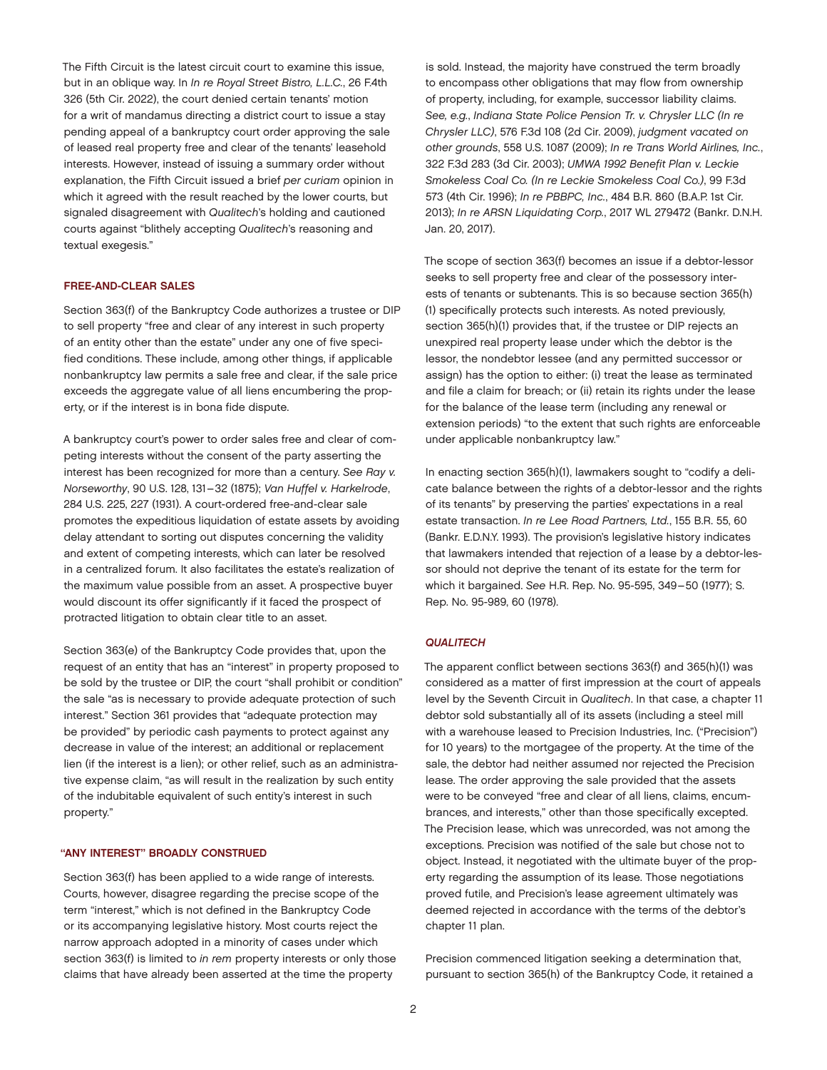The Fifth Circuit is the latest circuit court to examine this issue, but in an oblique way. In *In re Royal Street Bistro, L.L.C.*, 26 F.4th 326 (5th Cir. 2022), the court denied certain tenants' motion for a writ of mandamus directing a district court to issue a stay pending appeal of a bankruptcy court order approving the sale of leased real property free and clear of the tenants' leasehold interests. However, instead of issuing a summary order without explanation, the Fifth Circuit issued a brief *per curiam* opinion in which it agreed with the result reached by the lower courts, but signaled disagreement with *Qualitech*'s holding and cautioned courts against "blithely accepting *Qualitech*'s reasoning and textual exegesis."

#### FREE-AND-CLEAR SALES

Section 363(f) of the Bankruptcy Code authorizes a trustee or DIP to sell property "free and clear of any interest in such property of an entity other than the estate" under any one of five specified conditions. These include, among other things, if applicable nonbankruptcy law permits a sale free and clear, if the sale price exceeds the aggregate value of all liens encumbering the property, or if the interest is in bona fide dispute.

A bankruptcy court's power to order sales free and clear of competing interests without the consent of the party asserting the interest has been recognized for more than a century. *See Ray v. Norseworthy*, 90 U.S. 128, 131–32 (1875); *Van Huffel v. Harkelrode*, 284 U.S. 225, 227 (1931). A court-ordered free-and-clear sale promotes the expeditious liquidation of estate assets by avoiding delay attendant to sorting out disputes concerning the validity and extent of competing interests, which can later be resolved in a centralized forum. It also facilitates the estate's realization of the maximum value possible from an asset. A prospective buyer would discount its offer significantly if it faced the prospect of protracted litigation to obtain clear title to an asset.

Section 363(e) of the Bankruptcy Code provides that, upon the request of an entity that has an "interest" in property proposed to be sold by the trustee or DIP, the court "shall prohibit or condition" the sale "as is necessary to provide adequate protection of such interest." Section 361 provides that "adequate protection may be provided" by periodic cash payments to protect against any decrease in value of the interest; an additional or replacement lien (if the interest is a lien); or other relief, such as an administrative expense claim, "as will result in the realization by such entity of the indubitable equivalent of such entity's interest in such property."

#### "ANY INTEREST" BROADLY CONSTRUED

Section 363(f) has been applied to a wide range of interests. Courts, however, disagree regarding the precise scope of the term "interest," which is not defined in the Bankruptcy Code or its accompanying legislative history. Most courts reject the narrow approach adopted in a minority of cases under which section 363(f) is limited to *in rem* property interests or only those claims that have already been asserted at the time the property

is sold. Instead, the majority have construed the term broadly to encompass other obligations that may flow from ownership of property, including, for example, successor liability claims. *See, e.g.*, *Indiana State Police Pension Tr. v. Chrysler LLC (In re Chrysler LLC)*, 576 F.3d 108 (2d Cir. 2009), *judgment vacated on other grounds*, 558 U.S. 1087 (2009); *In re Trans World Airlines, Inc.*, 322 F.3d 283 (3d Cir. 2003); *UMWA 1992 Benefit Plan v. Leckie Smokeless Coal Co. (In re Leckie Smokeless Coal Co.)*, 99 F.3d 573 (4th Cir. 1996); *In re PBBPC, Inc.*, 484 B.R. 860 (B.A.P. 1st Cir. 2013); *In re ARSN Liquidating Corp.*, 2017 WL 279472 (Bankr. D.N.H. Jan. 20, 2017).

The scope of section 363(f) becomes an issue if a debtor-lessor seeks to sell property free and clear of the possessory interests of tenants or subtenants. This is so because section 365(h) (1) specifically protects such interests. As noted previously, section 365(h)(1) provides that, if the trustee or DIP rejects an unexpired real property lease under which the debtor is the lessor, the nondebtor lessee (and any permitted successor or assign) has the option to either: (i) treat the lease as terminated and file a claim for breach; or (ii) retain its rights under the lease for the balance of the lease term (including any renewal or extension periods) "to the extent that such rights are enforceable under applicable nonbankruptcy law."

In enacting section 365(h)(1), lawmakers sought to "codify a delicate balance between the rights of a debtor-lessor and the rights of its tenants" by preserving the parties' expectations in a real estate transaction. *In re Lee Road Partners, Ltd.*, 155 B.R. 55, 60 (Bankr. E.D.N.Y. 1993). The provision's legislative history indicates that lawmakers intended that rejection of a lease by a debtor-lessor should not deprive the tenant of its estate for the term for which it bargained. *See* H.R. Rep. No. 95-595, 349–50 (1977); S. Rep. No. 95-989, 60 (1978).

#### *QUALITECH*

The apparent conflict between sections 363(f) and 365(h)(1) was considered as a matter of first impression at the court of appeals level by the Seventh Circuit in *Qualitech*. In that case, a chapter 11 debtor sold substantially all of its assets (including a steel mill with a warehouse leased to Precision Industries, Inc. ("Precision") for 10 years) to the mortgagee of the property. At the time of the sale, the debtor had neither assumed nor rejected the Precision lease. The order approving the sale provided that the assets were to be conveyed "free and clear of all liens, claims, encumbrances, and interests," other than those specifically excepted. The Precision lease, which was unrecorded, was not among the exceptions. Precision was notified of the sale but chose not to object. Instead, it negotiated with the ultimate buyer of the property regarding the assumption of its lease. Those negotiations proved futile, and Precision's lease agreement ultimately was deemed rejected in accordance with the terms of the debtor's chapter 11 plan.

Precision commenced litigation seeking a determination that, pursuant to section 365(h) of the Bankruptcy Code, it retained a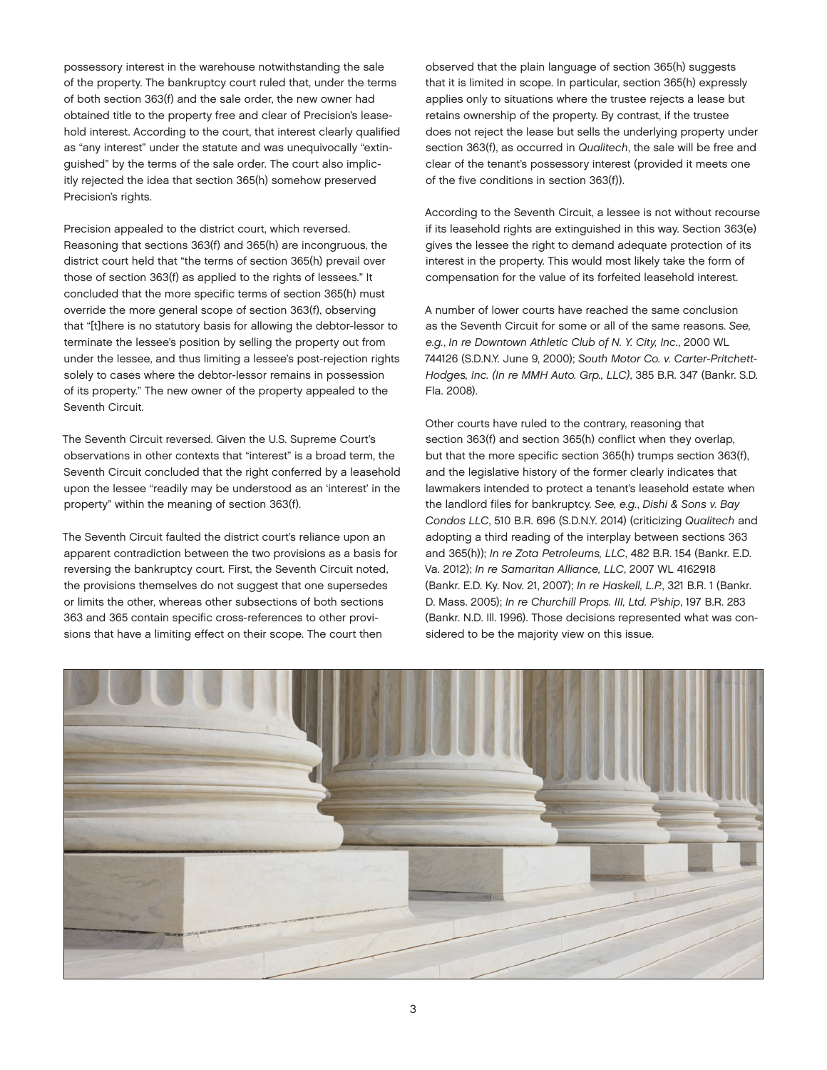possessory interest in the warehouse notwithstanding the sale of the property. The bankruptcy court ruled that, under the terms of both section 363(f) and the sale order, the new owner had obtained title to the property free and clear of Precision's leasehold interest. According to the court, that interest clearly qualified as "any interest" under the statute and was unequivocally "extinguished" by the terms of the sale order. The court also implicitly rejected the idea that section 365(h) somehow preserved Precision's rights.

Precision appealed to the district court, which reversed. Reasoning that sections 363(f) and 365(h) are incongruous, the district court held that "the terms of section 365(h) prevail over those of section 363(f) as applied to the rights of lessees." It concluded that the more specific terms of section 365(h) must override the more general scope of section 363(f), observing that "[t]here is no statutory basis for allowing the debtor-lessor to terminate the lessee's position by selling the property out from under the lessee, and thus limiting a lessee's post-rejection rights solely to cases where the debtor-lessor remains in possession of its property." The new owner of the property appealed to the Seventh Circuit.

The Seventh Circuit reversed. Given the U.S. Supreme Court's observations in other contexts that "interest" is a broad term, the Seventh Circuit concluded that the right conferred by a leasehold upon the lessee "readily may be understood as an 'interest' in the property" within the meaning of section 363(f).

The Seventh Circuit faulted the district court's reliance upon an apparent contradiction between the two provisions as a basis for reversing the bankruptcy court. First, the Seventh Circuit noted, the provisions themselves do not suggest that one supersedes or limits the other, whereas other subsections of both sections 363 and 365 contain specific cross-references to other provisions that have a limiting effect on their scope. The court then

observed that the plain language of section 365(h) suggests that it is limited in scope. In particular, section 365(h) expressly applies only to situations where the trustee rejects a lease but retains ownership of the property. By contrast, if the trustee does not reject the lease but sells the underlying property under section 363(f), as occurred in *Qualitech*, the sale will be free and clear of the tenant's possessory interest (provided it meets one of the five conditions in section 363(f)).

According to the Seventh Circuit, a lessee is not without recourse if its leasehold rights are extinguished in this way. Section 363(e) gives the lessee the right to demand adequate protection of its interest in the property. This would most likely take the form of compensation for the value of its forfeited leasehold interest.

A number of lower courts have reached the same conclusion as the Seventh Circuit for some or all of the same reasons. *See, e.g.*, *In re Downtown Athletic Club of N. Y. City, Inc.*, 2000 WL 744126 (S.D.N.Y. June 9, 2000); *South Motor Co. v. Carter-Pritchett-Hodges, Inc. (In re MMH Auto. Grp., LLC)*, 385 B.R. 347 (Bankr. S.D. Fla. 2008).

Other courts have ruled to the contrary, reasoning that section 363(f) and section 365(h) conflict when they overlap, but that the more specific section 365(h) trumps section 363(f), and the legislative history of the former clearly indicates that lawmakers intended to protect a tenant's leasehold estate when the landlord files for bankruptcy. *See, e.g.*, *Dishi & Sons v. Bay Condos LLC*, 510 B.R. 696 (S.D.N.Y. 2014) (criticizing *Qualitech* and adopting a third reading of the interplay between sections 363 and 365(h)); *In re Zota Petroleums, LLC*, 482 B.R. 154 (Bankr. E.D. Va. 2012); *In re Samaritan Alliance, LLC*, 2007 WL 4162918 (Bankr. E.D. Ky. Nov. 21, 2007); *In re Haskell, L.P.*, 321 B.R. 1 (Bankr. D. Mass. 2005); *In re Churchill Props. III, Ltd. P'ship*, 197 B.R. 283 (Bankr. N.D. Ill. 1996). Those decisions represented what was considered to be the majority view on this issue.

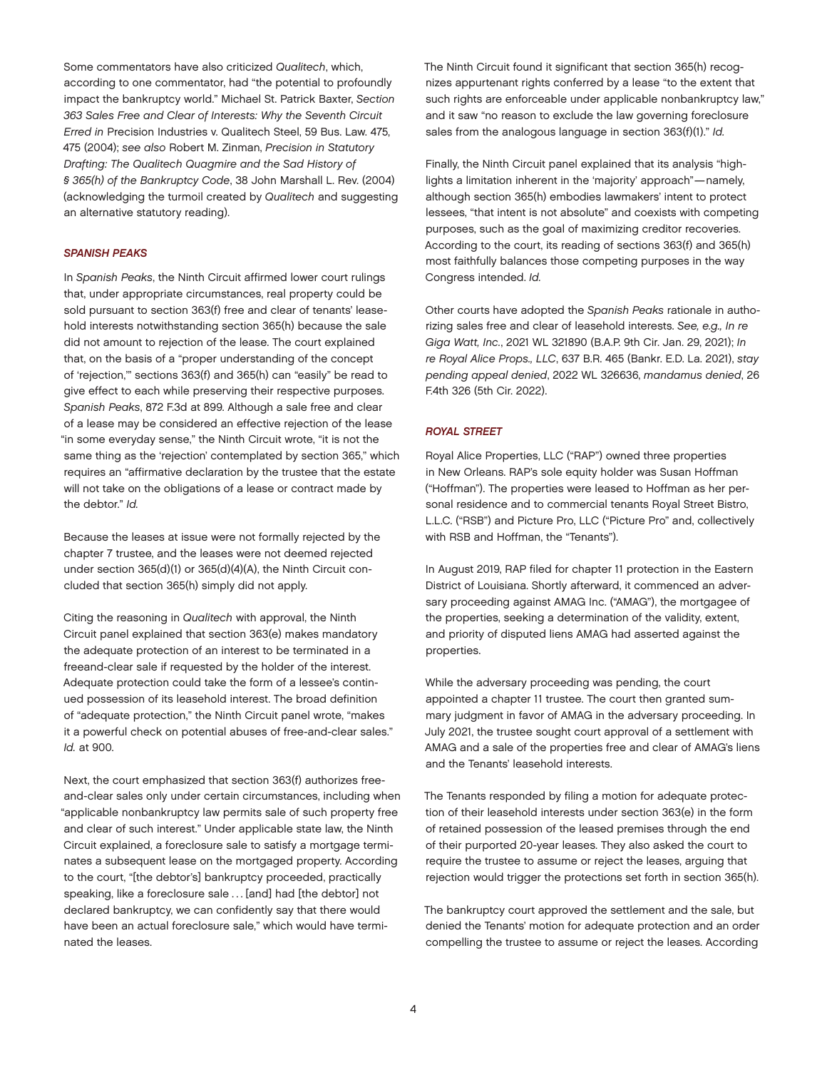Some commentators have also criticized *Qualitech*, which, according to one commentator, had "the potential to profoundly impact the bankruptcy world." Michael St. Patrick Baxter, *Section 363 Sales Free and Clear of Interests: Why the Seventh Circuit Erred in* Precision Industries v. Qualitech Steel, 59 Bus. Law. 475, 475 (2004); *see also* Robert M. Zinman, *Precision in Statutory Drafting: The Qualitech Quagmire and the Sad History of § 365(h) of the Bankruptcy Code*, 38 John Marshall L. Rev. (2004) (acknowledging the turmoil created by *Qualitech* and suggesting an alternative statutory reading).

#### *SPANISH PEAKS*

In *Spanish Peaks*, the Ninth Circuit affirmed lower court rulings that, under appropriate circumstances, real property could be sold pursuant to section 363(f) free and clear of tenants' leasehold interests notwithstanding section 365(h) because the sale did not amount to rejection of the lease. The court explained that, on the basis of a "proper understanding of the concept of 'rejection,'" sections 363(f) and 365(h) can "easily" be read to give effect to each while preserving their respective purposes. *Spanish Peaks*, 872 F.3d at 899. Although a sale free and clear of a lease may be considered an effective rejection of the lease "in some everyday sense," the Ninth Circuit wrote, "it is not the same thing as the 'rejection' contemplated by section 365," which requires an "affirmative declaration by the trustee that the estate will not take on the obligations of a lease or contract made by the debtor." *Id.*

Because the leases at issue were not formally rejected by the chapter 7 trustee, and the leases were not deemed rejected under section 365(d)(1) or 365(d)(4)(A), the Ninth Circuit concluded that section 365(h) simply did not apply.

Citing the reasoning in *Qualitech* with approval, the Ninth Circuit panel explained that section 363(e) makes mandatory the adequate protection of an interest to be terminated in a freeand-clear sale if requested by the holder of the interest. Adequate protection could take the form of a lessee's continued possession of its leasehold interest. The broad definition of "adequate protection," the Ninth Circuit panel wrote, "makes it a powerful check on potential abuses of free-and-clear sales." *Id.* at 900.

Next, the court emphasized that section 363(f) authorizes freeand-clear sales only under certain circumstances, including when "applicable nonbankruptcy law permits sale of such property free and clear of such interest." Under applicable state law, the Ninth Circuit explained, a foreclosure sale to satisfy a mortgage terminates a subsequent lease on the mortgaged property. According to the court, "[the debtor's] bankruptcy proceeded, practically speaking, like a foreclosure sale ... [and] had [the debtor] not declared bankruptcy, we can confidently say that there would have been an actual foreclosure sale," which would have terminated the leases.

The Ninth Circuit found it significant that section 365(h) recognizes appurtenant rights conferred by a lease "to the extent that such rights are enforceable under applicable nonbankruptcy law," and it saw "no reason to exclude the law governing foreclosure sales from the analogous language in section 363(f)(1)." *Id.*

Finally, the Ninth Circuit panel explained that its analysis "highlights a limitation inherent in the 'majority' approach"—namely, although section 365(h) embodies lawmakers' intent to protect lessees, "that intent is not absolute" and coexists with competing purposes, such as the goal of maximizing creditor recoveries. According to the court, its reading of sections 363(f) and 365(h) most faithfully balances those competing purposes in the way Congress intended. *Id.*

Other courts have adopted the *Spanish Peaks* rationale in authorizing sales free and clear of leasehold interests. *See, e.g., In re Giga Watt, Inc.*, 2021 WL 321890 (B.A.P. 9th Cir. Jan. 29, 2021); *In re Royal Alice Props., LLC*, 637 B.R. 465 (Bankr. E.D. La. 2021), *stay pending appeal denied*, 2022 WL 326636, *mandamus denied*, 26 F.4th 326 (5th Cir. 2022).

#### *ROYAL STREET*

Royal Alice Properties, LLC ("RAP") owned three properties in New Orleans. RAP's sole equity holder was Susan Hoffman ("Hoffman"). The properties were leased to Hoffman as her personal residence and to commercial tenants Royal Street Bistro, L.L.C. ("RSB") and Picture Pro, LLC ("Picture Pro" and, collectively with RSB and Hoffman, the "Tenants").

In August 2019, RAP filed for chapter 11 protection in the Eastern District of Louisiana. Shortly afterward, it commenced an adversary proceeding against AMAG Inc. ("AMAG"), the mortgagee of the properties, seeking a determination of the validity, extent, and priority of disputed liens AMAG had asserted against the properties.

While the adversary proceeding was pending, the court appointed a chapter 11 trustee. The court then granted summary judgment in favor of AMAG in the adversary proceeding. In July 2021, the trustee sought court approval of a settlement with AMAG and a sale of the properties free and clear of AMAG's liens and the Tenants' leasehold interests.

The Tenants responded by filing a motion for adequate protection of their leasehold interests under section 363(e) in the form of retained possession of the leased premises through the end of their purported 20-year leases. They also asked the court to require the trustee to assume or reject the leases, arguing that rejection would trigger the protections set forth in section 365(h).

The bankruptcy court approved the settlement and the sale, but denied the Tenants' motion for adequate protection and an order compelling the trustee to assume or reject the leases. According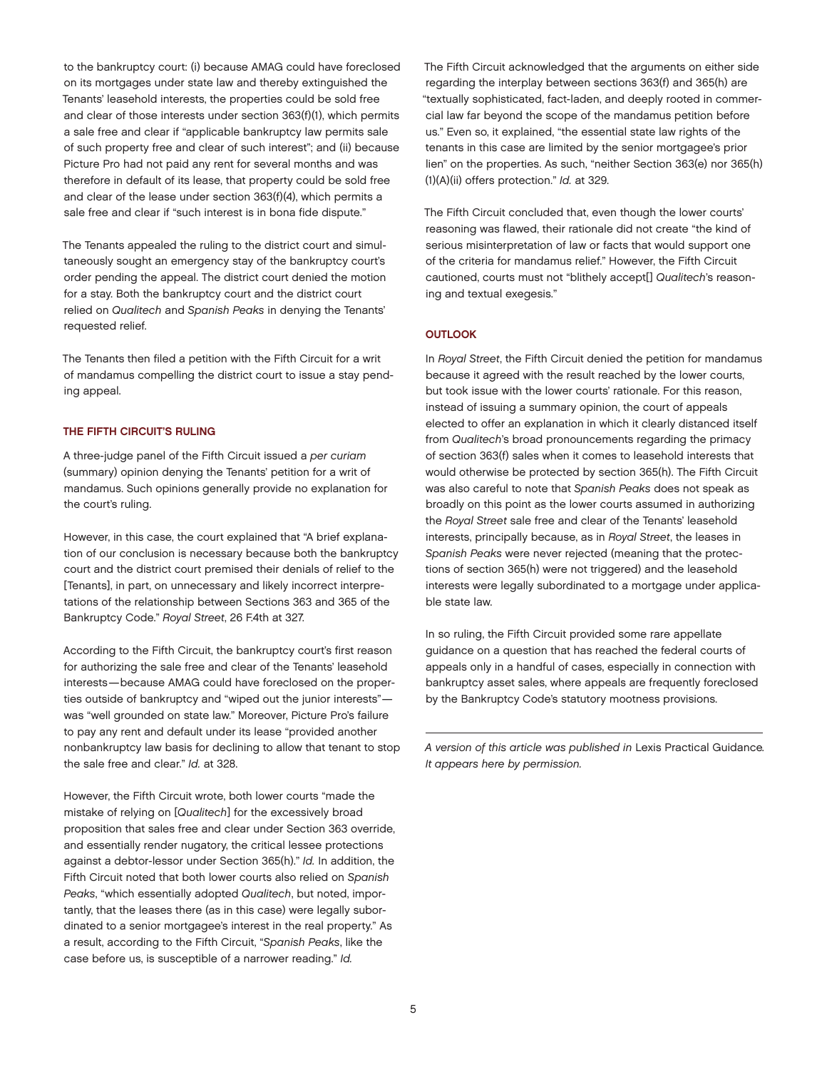to the bankruptcy court: (i) because AMAG could have foreclosed on its mortgages under state law and thereby extinguished the Tenants' leasehold interests, the properties could be sold free and clear of those interests under section 363(f)(1), which permits a sale free and clear if "applicable bankruptcy law permits sale of such property free and clear of such interest"; and (ii) because Picture Pro had not paid any rent for several months and was therefore in default of its lease, that property could be sold free and clear of the lease under section 363(f)(4), which permits a sale free and clear if "such interest is in bona fide dispute."

The Tenants appealed the ruling to the district court and simultaneously sought an emergency stay of the bankruptcy court's order pending the appeal. The district court denied the motion for a stay. Both the bankruptcy court and the district court relied on *Qualitech* and *Spanish Peaks* in denying the Tenants' requested relief.

The Tenants then filed a petition with the Fifth Circuit for a writ of mandamus compelling the district court to issue a stay pending appeal.

#### THE FIFTH CIRCUIT'S RULING

A three-judge panel of the Fifth Circuit issued a *per curiam* (summary) opinion denying the Tenants' petition for a writ of mandamus. Such opinions generally provide no explanation for the court's ruling.

However, in this case, the court explained that "A brief explanation of our conclusion is necessary because both the bankruptcy court and the district court premised their denials of relief to the [Tenants], in part, on unnecessary and likely incorrect interpretations of the relationship between Sections 363 and 365 of the Bankruptcy Code." *Royal Street*, 26 F.4th at 327.

According to the Fifth Circuit, the bankruptcy court's first reason for authorizing the sale free and clear of the Tenants' leasehold interests—because AMAG could have foreclosed on the properties outside of bankruptcy and "wiped out the junior interests" was "well grounded on state law." Moreover, Picture Pro's failure to pay any rent and default under its lease "provided another nonbankruptcy law basis for declining to allow that tenant to stop the sale free and clear." *Id.* at 328.

However, the Fifth Circuit wrote, both lower courts "made the mistake of relying on [*Qualitech*] for the excessively broad proposition that sales free and clear under Section 363 override, and essentially render nugatory, the critical lessee protections against a debtor-lessor under Section 365(h)." *Id.* In addition, the Fifth Circuit noted that both lower courts also relied on *Spanish Peaks*, "which essentially adopted *Qualitech*, but noted, importantly, that the leases there (as in this case) were legally subordinated to a senior mortgagee's interest in the real property." As a result, according to the Fifth Circuit, "*Spanish Peaks*, like the case before us, is susceptible of a narrower reading." *Id.*

The Fifth Circuit acknowledged that the arguments on either side regarding the interplay between sections 363(f) and 365(h) are "textually sophisticated, fact-laden, and deeply rooted in commercial law far beyond the scope of the mandamus petition before us." Even so, it explained, "the essential state law rights of the tenants in this case are limited by the senior mortgagee's prior lien" on the properties. As such, "neither Section 363(e) nor 365(h) (1)(A)(ii) offers protection." *Id.* at 329.

The Fifth Circuit concluded that, even though the lower courts' reasoning was flawed, their rationale did not create "the kind of serious misinterpretation of law or facts that would support one of the criteria for mandamus relief." However, the Fifth Circuit cautioned, courts must not "blithely accept[] *Qualitech*'s reasoning and textual exegesis."

#### **OUTLOOK**

In *Royal Street*, the Fifth Circuit denied the petition for mandamus because it agreed with the result reached by the lower courts, but took issue with the lower courts' rationale. For this reason, instead of issuing a summary opinion, the court of appeals elected to offer an explanation in which it clearly distanced itself from *Qualitech*'s broad pronouncements regarding the primacy of section 363(f) sales when it comes to leasehold interests that would otherwise be protected by section 365(h). The Fifth Circuit was also careful to note that *Spanish Peaks* does not speak as broadly on this point as the lower courts assumed in authorizing the *Royal Street* sale free and clear of the Tenants' leasehold interests, principally because, as in *Royal Street*, the leases in *Spanish Peaks* were never rejected (meaning that the protections of section 365(h) were not triggered) and the leasehold interests were legally subordinated to a mortgage under applicable state law.

In so ruling, the Fifth Circuit provided some rare appellate guidance on a question that has reached the federal courts of appeals only in a handful of cases, especially in connection with bankruptcy asset sales, where appeals are frequently foreclosed by the Bankruptcy Code's statutory mootness provisions.

*A version of this article was published in* Lexis Practical Guidance*. It appears here by permission.*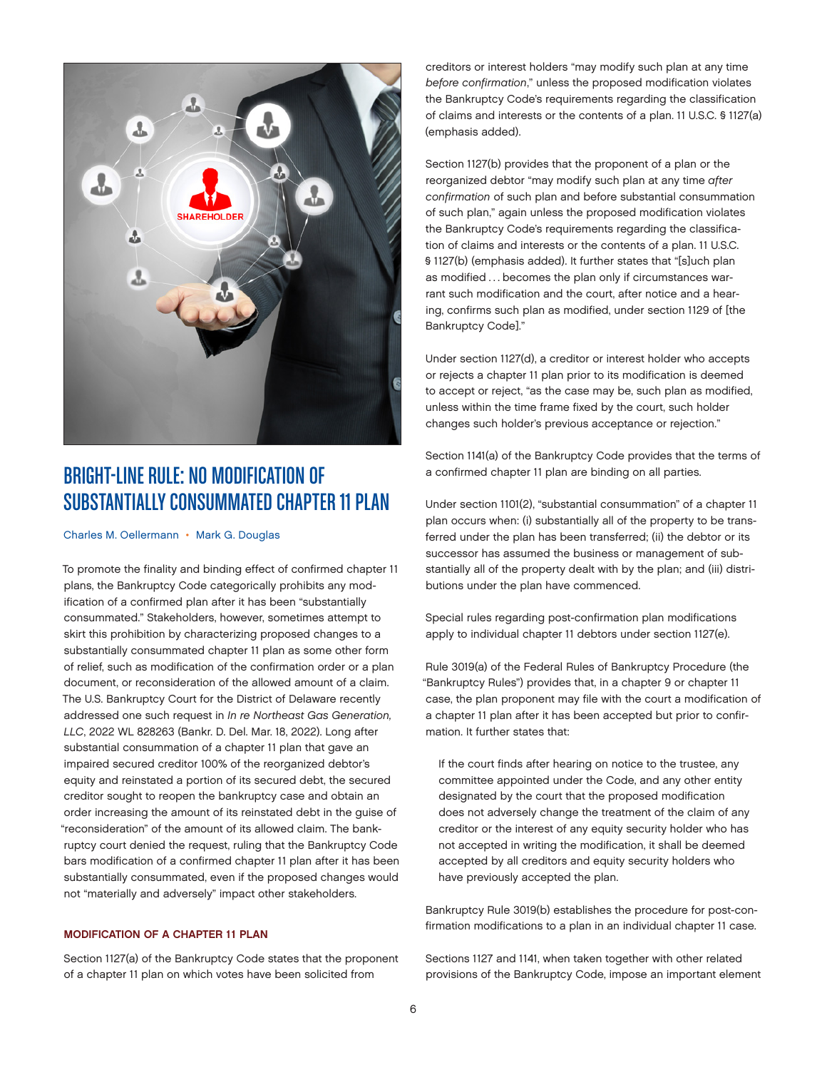<span id="page-5-0"></span>

# BRIGHT-LINE RULE: NO MODIFICATION OF SUBSTANTIALLY CONSUMMATED CHAPTER 11 PLAN

[Charles M. Oellermann](https://www.jonesday.com/en/lawyers/o/charles-oellermann?tab=overview) • [Mark G. Douglas](mailto:https://www.jonesday.com/en/lawyers/d/mark-douglas%3Ftab%3Doverview?subject=)

To promote the finality and binding effect of confirmed chapter 11 plans, the Bankruptcy Code categorically prohibits any modification of a confirmed plan after it has been "substantially consummated." Stakeholders, however, sometimes attempt to skirt this prohibition by characterizing proposed changes to a substantially consummated chapter 11 plan as some other form of relief, such as modification of the confirmation order or a plan document, or reconsideration of the allowed amount of a claim. The U.S. Bankruptcy Court for the District of Delaware recently addressed one such request in *In re Northeast Gas Generation, LLC*, 2022 WL 828263 (Bankr. D. Del. Mar. 18, 2022). Long after substantial consummation of a chapter 11 plan that gave an impaired secured creditor 100% of the reorganized debtor's equity and reinstated a portion of its secured debt, the secured creditor sought to reopen the bankruptcy case and obtain an order increasing the amount of its reinstated debt in the guise of "reconsideration" of the amount of its allowed claim. The bankruptcy court denied the request, ruling that the Bankruptcy Code bars modification of a confirmed chapter 11 plan after it has been substantially consummated, even if the proposed changes would not "materially and adversely" impact other stakeholders.

#### MODIFICATION OF A CHAPTER 11 PLAN

Section 1127(a) of the Bankruptcy Code states that the proponent of a chapter 11 plan on which votes have been solicited from

creditors or interest holders "may modify such plan at any time *before confirmation*," unless the proposed modification violates the Bankruptcy Code's requirements regarding the classification of claims and interests or the contents of a plan. 11 U.S.C. § 1127(a) (emphasis added).

Section 1127(b) provides that the proponent of a plan or the reorganized debtor "may modify such plan at any time *after confirmation* of such plan and before substantial consummation of such plan," again unless the proposed modification violates the Bankruptcy Code's requirements regarding the classification of claims and interests or the contents of a plan. 11 U.S.C. § 1127(b) (emphasis added). It further states that "[s]uch plan as modified ... becomes the plan only if circumstances warrant such modification and the court, after notice and a hearing, confirms such plan as modified, under section 1129 of [the Bankruptcy Code]."

Under section 1127(d), a creditor or interest holder who accepts or rejects a chapter 11 plan prior to its modification is deemed to accept or reject, "as the case may be, such plan as modified, unless within the time frame fixed by the court, such holder changes such holder's previous acceptance or rejection."

Section 1141(a) of the Bankruptcy Code provides that the terms of a confirmed chapter 11 plan are binding on all parties.

Under section 1101(2), "substantial consummation" of a chapter 11 plan occurs when: (i) substantially all of the property to be transferred under the plan has been transferred; (ii) the debtor or its successor has assumed the business or management of substantially all of the property dealt with by the plan; and (iii) distributions under the plan have commenced.

Special rules regarding post-confirmation plan modifications apply to individual chapter 11 debtors under section 1127(e).

Rule 3019(a) of the Federal Rules of Bankruptcy Procedure (the "Bankruptcy Rules") provides that, in a chapter 9 or chapter 11 case, the plan proponent may file with the court a modification of a chapter 11 plan after it has been accepted but prior to confirmation. It further states that:

If the court finds after hearing on notice to the trustee, any committee appointed under the Code, and any other entity designated by the court that the proposed modification does not adversely change the treatment of the claim of any creditor or the interest of any equity security holder who has not accepted in writing the modification, it shall be deemed accepted by all creditors and equity security holders who have previously accepted the plan.

Bankruptcy Rule 3019(b) establishes the procedure for post-confirmation modifications to a plan in an individual chapter 11 case.

Sections 1127 and 1141, when taken together with other related provisions of the Bankruptcy Code, impose an important element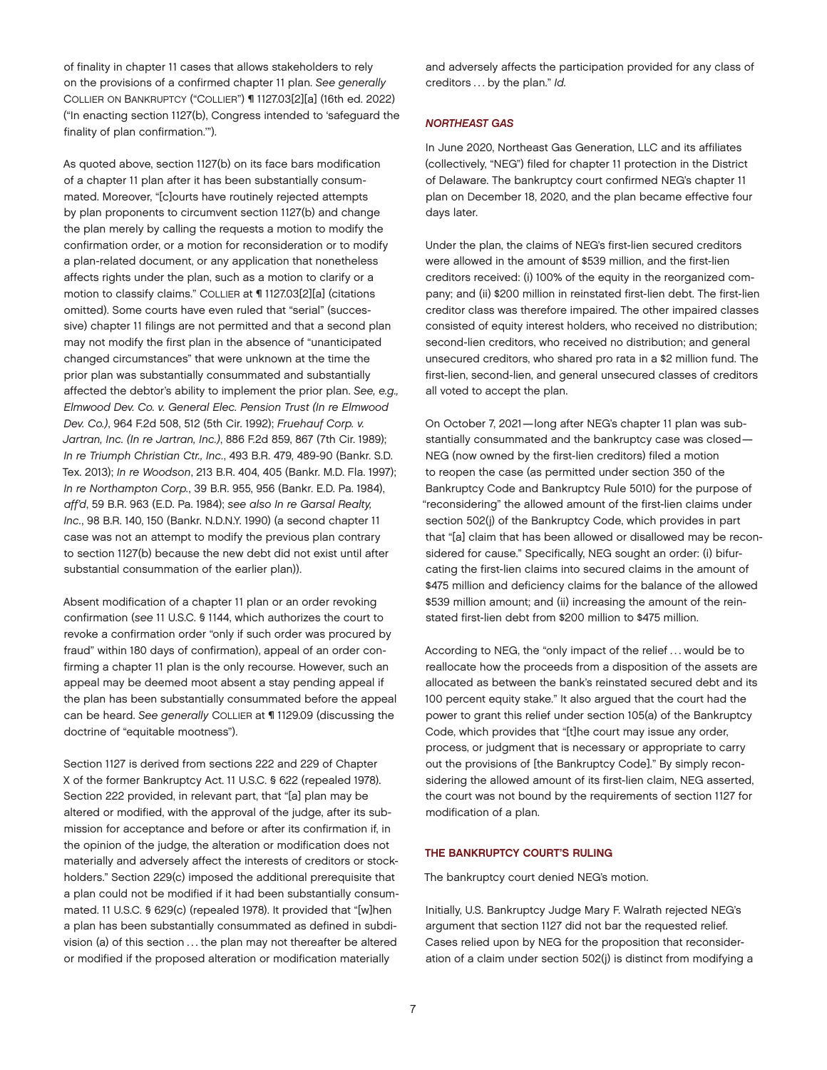of finality in chapter 11 cases that allows stakeholders to rely on the provisions of a confirmed chapter 11 plan. *See generally* COLLIER ON BANKRUPTCY ("COLLIER") ¶ 1127.03[2][a] (16th ed. 2022) ("In enacting section 1127(b), Congress intended to 'safeguard the finality of plan confirmation.'").

As quoted above, section 1127(b) on its face bars modification of a chapter 11 plan after it has been substantially consummated. Moreover, "[c]ourts have routinely rejected attempts by plan proponents to circumvent section 1127(b) and change the plan merely by calling the requests a motion to modify the confirmation order, or a motion for reconsideration or to modify a plan-related document, or any application that nonetheless affects rights under the plan, such as a motion to clarify or a motion to classify claims." COLLIER at ¶ 1127.03[2][a] (citations omitted). Some courts have even ruled that "serial" (successive) chapter 11 filings are not permitted and that a second plan may not modify the first plan in the absence of "unanticipated changed circumstances" that were unknown at the time the prior plan was substantially consummated and substantially affected the debtor's ability to implement the prior plan. *See, e.g., Elmwood Dev. Co. v. General Elec. Pension Trust (In re Elmwood Dev. Co.)*, 964 F.2d 508, 512 (5th Cir. 1992); *Fruehauf Corp. v. Jartran, Inc. (In re Jartran, Inc.)*, 886 F.2d 859, 867 (7th Cir. 1989); *In re Triumph Christian Ctr., Inc.*, 493 B.R. 479, 489-90 (Bankr. S.D. Tex. 2013); *In re Woodson*, 213 B.R. 404, 405 (Bankr. M.D. Fla. 1997); *In re Northampton Corp.*, 39 B.R. 955, 956 (Bankr. E.D. Pa. 1984), *aff'd*, 59 B.R. 963 (E.D. Pa. 1984); *see also In re Garsal Realty, Inc.*, 98 B.R. 140, 150 (Bankr. N.D.N.Y. 1990) (a second chapter 11 case was not an attempt to modify the previous plan contrary to section 1127(b) because the new debt did not exist until after substantial consummation of the earlier plan)).

Absent modification of a chapter 11 plan or an order revoking confirmation (*see* 11 U.S.C. § 1144, which authorizes the court to revoke a confirmation order "only if such order was procured by fraud" within 180 days of confirmation), appeal of an order confirming a chapter 11 plan is the only recourse. However, such an appeal may be deemed moot absent a stay pending appeal if the plan has been substantially consummated before the appeal can be heard. *See generally* COLLIER at ¶ 1129.09 (discussing the doctrine of "equitable mootness").

Section 1127 is derived from sections 222 and 229 of Chapter X of the former Bankruptcy Act. 11 U.S.C. § 622 (repealed 1978). Section 222 provided, in relevant part, that "[a] plan may be altered or modified, with the approval of the judge, after its submission for acceptance and before or after its confirmation if, in the opinion of the judge, the alteration or modification does not materially and adversely affect the interests of creditors or stockholders." Section 229(c) imposed the additional prerequisite that a plan could not be modified if it had been substantially consummated. 11 U.S.C. § 629(c) (repealed 1978). It provided that "[w]hen a plan has been substantially consummated as defined in subdivision (a) of this section . . . the plan may not thereafter be altered or modified if the proposed alteration or modification materially

and adversely affects the participation provided for any class of creditors . . . by the plan." *Id.*

#### *NORTHEAST GAS*

In June 2020, Northeast Gas Generation, LLC and its affiliates (collectively, "NEG") filed for chapter 11 protection in the District of Delaware. The bankruptcy court confirmed NEG's chapter 11 plan on December 18, 2020, and the plan became effective four days later.

Under the plan, the claims of NEG's first-lien secured creditors were allowed in the amount of \$539 million, and the first-lien creditors received: (i) 100% of the equity in the reorganized company; and (ii) \$200 million in reinstated first-lien debt. The first-lien creditor class was therefore impaired. The other impaired classes consisted of equity interest holders, who received no distribution; second-lien creditors, who received no distribution; and general unsecured creditors, who shared pro rata in a \$2 million fund. The first-lien, second-lien, and general unsecured classes of creditors all voted to accept the plan.

On October 7, 2021—long after NEG's chapter 11 plan was substantially consummated and the bankruptcy case was closed— NEG (now owned by the first-lien creditors) filed a motion to reopen the case (as permitted under section 350 of the Bankruptcy Code and Bankruptcy Rule 5010) for the purpose of "reconsidering" the allowed amount of the first-lien claims under section 502(j) of the Bankruptcy Code, which provides in part that "[a] claim that has been allowed or disallowed may be reconsidered for cause." Specifically, NEG sought an order: (i) bifurcating the first-lien claims into secured claims in the amount of \$475 million and deficiency claims for the balance of the allowed \$539 million amount; and (ii) increasing the amount of the reinstated first-lien debt from \$200 million to \$475 million.

According to NEG, the "only impact of the relief . . . would be to reallocate how the proceeds from a disposition of the assets are allocated as between the bank's reinstated secured debt and its 100 percent equity stake." It also argued that the court had the power to grant this relief under section 105(a) of the Bankruptcy Code, which provides that "[t]he court may issue any order, process, or judgment that is necessary or appropriate to carry out the provisions of [the Bankruptcy Code]." By simply reconsidering the allowed amount of its first-lien claim, NEG asserted, the court was not bound by the requirements of section 1127 for modification of a plan.

#### THE BANKRUPTCY COURT'S RULING

The bankruptcy court denied NEG's motion.

Initially, U.S. Bankruptcy Judge Mary F. Walrath rejected NEG's argument that section 1127 did not bar the requested relief. Cases relied upon by NEG for the proposition that reconsideration of a claim under section 502(j) is distinct from modifying a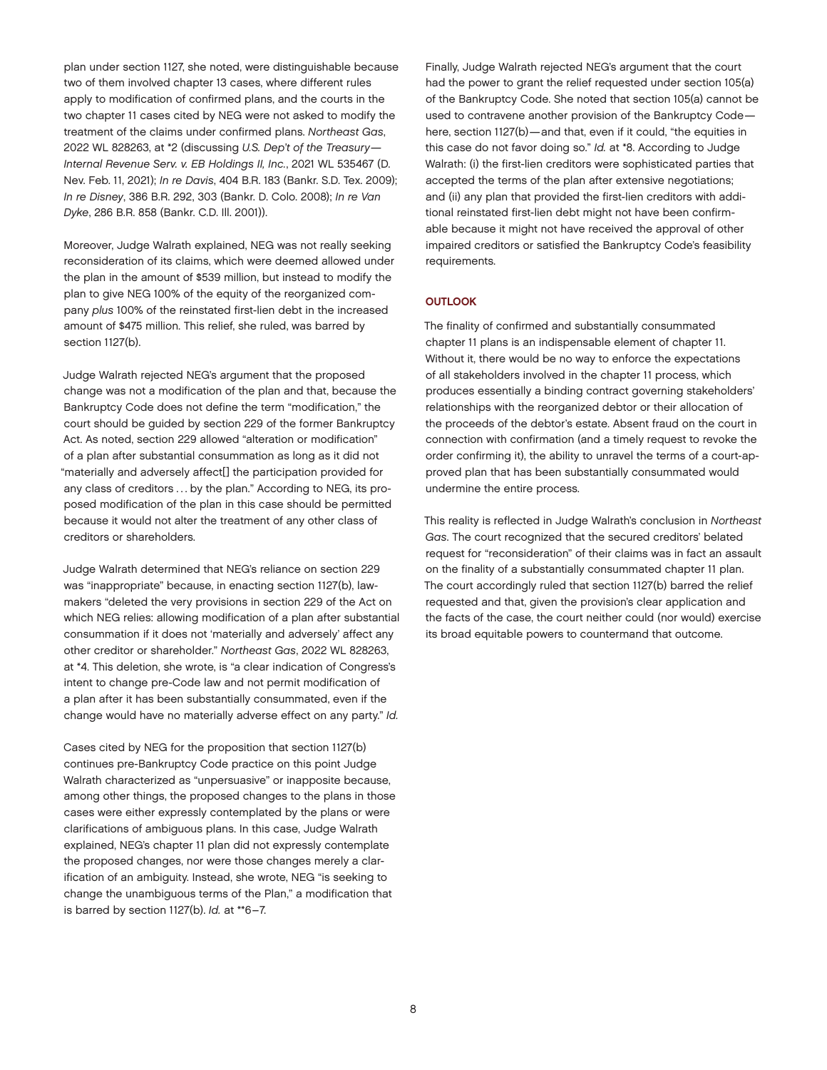plan under section 1127, she noted, were distinguishable because two of them involved chapter 13 cases, where different rules apply to modification of confirmed plans, and the courts in the two chapter 11 cases cited by NEG were not asked to modify the treatment of the claims under confirmed plans. *Northeast Gas*, 2022 WL 828263, at \*2 (discussing *U.S. Dep't of the Treasury— Internal Revenue Serv. v. EB Holdings II, Inc.*, 2021 WL 535467 (D. Nev. Feb. 11, 2021); *In re Davis*, 404 B.R. 183 (Bankr. S.D. Tex. 2009); *In re Disney*, 386 B.R. 292, 303 (Bankr. D. Colo. 2008); *In re Van Dyke*, 286 B.R. 858 (Bankr. C.D. Ill. 2001)).

Moreover, Judge Walrath explained, NEG was not really seeking reconsideration of its claims, which were deemed allowed under the plan in the amount of \$539 million, but instead to modify the plan to give NEG 100% of the equity of the reorganized company *plus* 100% of the reinstated first-lien debt in the increased amount of \$475 million. This relief, she ruled, was barred by section 1127(b).

Judge Walrath rejected NEG's argument that the proposed change was not a modification of the plan and that, because the Bankruptcy Code does not define the term "modification," the court should be guided by section 229 of the former Bankruptcy Act. As noted, section 229 allowed "alteration or modification" of a plan after substantial consummation as long as it did not "materially and adversely affect[] the participation provided for any class of creditors ... by the plan." According to NEG, its proposed modification of the plan in this case should be permitted because it would not alter the treatment of any other class of creditors or shareholders.

Judge Walrath determined that NEG's reliance on section 229 was "inappropriate" because, in enacting section 1127(b), lawmakers "deleted the very provisions in section 229 of the Act on which NEG relies: allowing modification of a plan after substantial consummation if it does not 'materially and adversely' affect any other creditor or shareholder." *Northeast Gas*, 2022 WL 828263, at \*4. This deletion, she wrote, is "a clear indication of Congress's intent to change pre-Code law and not permit modification of a plan after it has been substantially consummated, even if the change would have no materially adverse effect on any party." *Id.*

Cases cited by NEG for the proposition that section 1127(b) continues pre-Bankruptcy Code practice on this point Judge Walrath characterized as "unpersuasive" or inapposite because, among other things, the proposed changes to the plans in those cases were either expressly contemplated by the plans or were clarifications of ambiguous plans. In this case, Judge Walrath explained, NEG's chapter 11 plan did not expressly contemplate the proposed changes, nor were those changes merely a clarification of an ambiguity. Instead, she wrote, NEG "is seeking to change the unambiguous terms of the Plan," a modification that is barred by section 1127(b). *Id.* at \*\*6–7.

Finally, Judge Walrath rejected NEG's argument that the court had the power to grant the relief requested under section 105(a) of the Bankruptcy Code. She noted that section 105(a) cannot be used to contravene another provision of the Bankruptcy Code here, section 1127(b)—and that, even if it could, "the equities in this case do not favor doing so." *Id.* at \*8. According to Judge Walrath: (i) the first-lien creditors were sophisticated parties that accepted the terms of the plan after extensive negotiations; and (ii) any plan that provided the first-lien creditors with additional reinstated first-lien debt might not have been confirmable because it might not have received the approval of other impaired creditors or satisfied the Bankruptcy Code's feasibility requirements.

#### **OUTLOOK**

The finality of confirmed and substantially consummated chapter 11 plans is an indispensable element of chapter 11. Without it, there would be no way to enforce the expectations of all stakeholders involved in the chapter 11 process, which produces essentially a binding contract governing stakeholders' relationships with the reorganized debtor or their allocation of the proceeds of the debtor's estate. Absent fraud on the court in connection with confirmation (and a timely request to revoke the order confirming it), the ability to unravel the terms of a court-approved plan that has been substantially consummated would undermine the entire process.

This reality is reflected in Judge Walrath's conclusion in *Northeast Gas*. The court recognized that the secured creditors' belated request for "reconsideration" of their claims was in fact an assault on the finality of a substantially consummated chapter 11 plan. The court accordingly ruled that section 1127(b) barred the relief requested and that, given the provision's clear application and the facts of the case, the court neither could (nor would) exercise its broad equitable powers to countermand that outcome.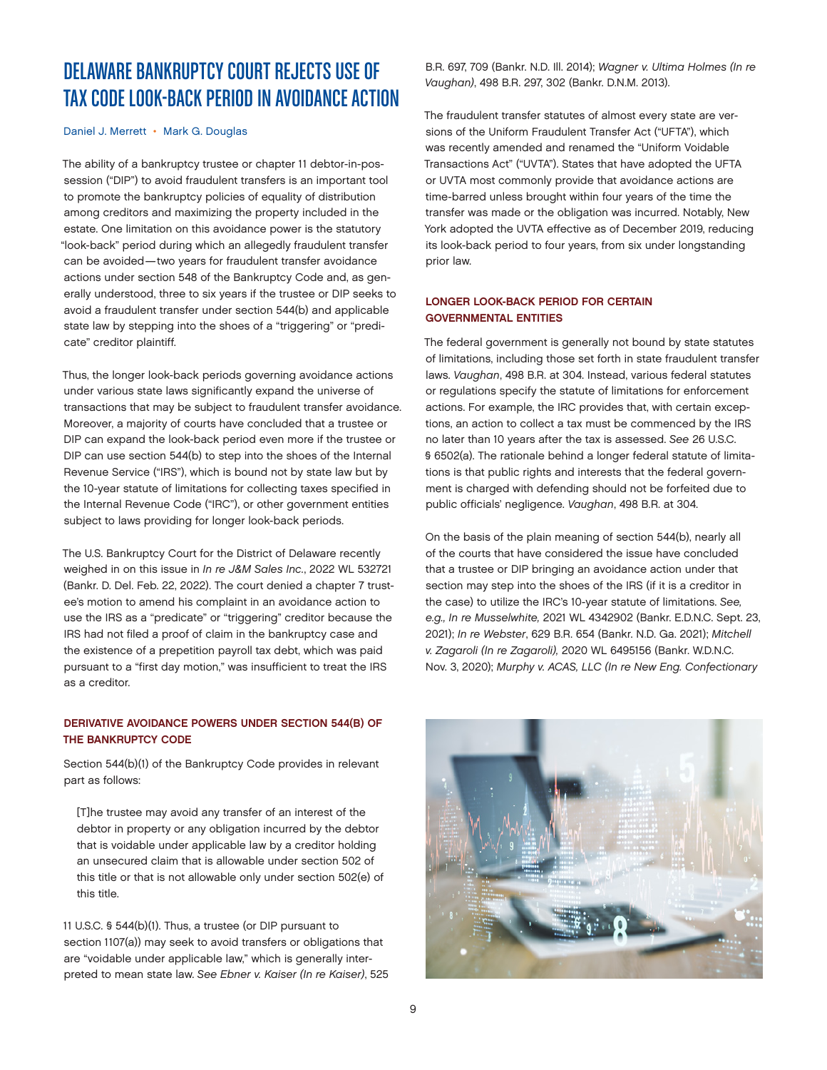# <span id="page-8-0"></span>DELAWARE BANKRUPTCY COURT REJECTS USE OF TAX CODE LOOK-BACK PERIOD IN AVOIDANCE ACTION

#### [Daniel J. Merrett](https://www.jonesday.com/en/lawyers/m/daniel-merrett?tab=overview) • [Mark G. Douglas](https://www.jonesday.com/en/lawyers/d/mark-douglas?tab=overview)

The ability of a bankruptcy trustee or chapter 11 debtor-in-possession ("DIP") to avoid fraudulent transfers is an important tool to promote the bankruptcy policies of equality of distribution among creditors and maximizing the property included in the estate. One limitation on this avoidance power is the statutory "look-back" period during which an allegedly fraudulent transfer can be avoided—two years for fraudulent transfer avoidance actions under section 548 of the Bankruptcy Code and, as generally understood, three to six years if the trustee or DIP seeks to avoid a fraudulent transfer under section 544(b) and applicable state law by stepping into the shoes of a "triggering" or "predicate" creditor plaintiff.

Thus, the longer look-back periods governing avoidance actions under various state laws significantly expand the universe of transactions that may be subject to fraudulent transfer avoidance. Moreover, a majority of courts have concluded that a trustee or DIP can expand the look-back period even more if the trustee or DIP can use section 544(b) to step into the shoes of the Internal Revenue Service ("IRS"), which is bound not by state law but by the 10-year statute of limitations for collecting taxes specified in the Internal Revenue Code ("IRC"), or other government entities subject to laws providing for longer look-back periods.

The U.S. Bankruptcy Court for the District of Delaware recently weighed in on this issue in *In re J&M Sales Inc.*, 2022 WL 532721 (Bankr. D. Del. Feb. 22, 2022). The court denied a chapter 7 trustee's motion to amend his complaint in an avoidance action to use the IRS as a "predicate" or "triggering" creditor because the IRS had not filed a proof of claim in the bankruptcy case and the existence of a prepetition payroll tax debt, which was paid pursuant to a "first day motion," was insufficient to treat the IRS as a creditor.

#### DERIVATIVE AVOIDANCE POWERS UNDER SECTION 544(B) OF THE BANKRUPTCY CODE

Section 544(b)(1) of the Bankruptcy Code provides in relevant part as follows:

[T]he trustee may avoid any transfer of an interest of the debtor in property or any obligation incurred by the debtor that is voidable under applicable law by a creditor holding an unsecured claim that is allowable under section 502 of this title or that is not allowable only under section 502(e) of this title.

11 U.S.C. § 544(b)(1). Thus, a trustee (or DIP pursuant to section 1107(a)) may seek to avoid transfers or obligations that are "voidable under applicable law," which is generally interpreted to mean state law. *See Ebner v. Kaiser (In re Kaiser)*, 525 B.R. 697, 709 (Bankr. N.D. Ill. 2014); *Wagner v. Ultima Holmes (In re Vaughan)*, 498 B.R. 297, 302 (Bankr. D.N.M. 2013).

The fraudulent transfer statutes of almost every state are versions of the Uniform Fraudulent Transfer Act ("UFTA"), which was recently amended and renamed the "Uniform Voidable Transactions Act" ("UVTA"). States that have adopted the UFTA or UVTA most commonly provide that avoidance actions are time-barred unless brought within four years of the time the transfer was made or the obligation was incurred. Notably, New York adopted the UVTA effective as of December 2019, reducing its look-back period to four years, from six under longstanding prior law.

#### LONGER LOOK-BACK PERIOD FOR CERTAIN GOVERNMENTAL ENTITIES

The federal government is generally not bound by state statutes of limitations, including those set forth in state fraudulent transfer laws. *Vaughan*, 498 B.R. at 304. Instead, various federal statutes or regulations specify the statute of limitations for enforcement actions. For example, the IRC provides that, with certain exceptions, an action to collect a tax must be commenced by the IRS no later than 10 years after the tax is assessed. *See* 26 U.S.C. § 6502(a). The rationale behind a longer federal statute of limitations is that public rights and interests that the federal government is charged with defending should not be forfeited due to public officials' negligence. *Vaughan*, 498 B.R. at 304.

On the basis of the plain meaning of section 544(b), nearly all of the courts that have considered the issue have concluded that a trustee or DIP bringing an avoidance action under that section may step into the shoes of the IRS (if it is a creditor in the case) to utilize the IRC's 10-year statute of limitations. *See, e.g., In re Musselwhite,* 2021 WL 4342902 (Bankr. E.D.N.C. Sept. 23, 2021); *In re Webster*, 629 B.R. 654 (Bankr. N.D. Ga. 2021); *Mitchell v. Zagaroli (In re Zagaroli),* 2020 WL 6495156 (Bankr. W.D.N.C. Nov. 3, 2020); *Murphy v. ACAS, LLC (In re New Eng. Confectionary* 

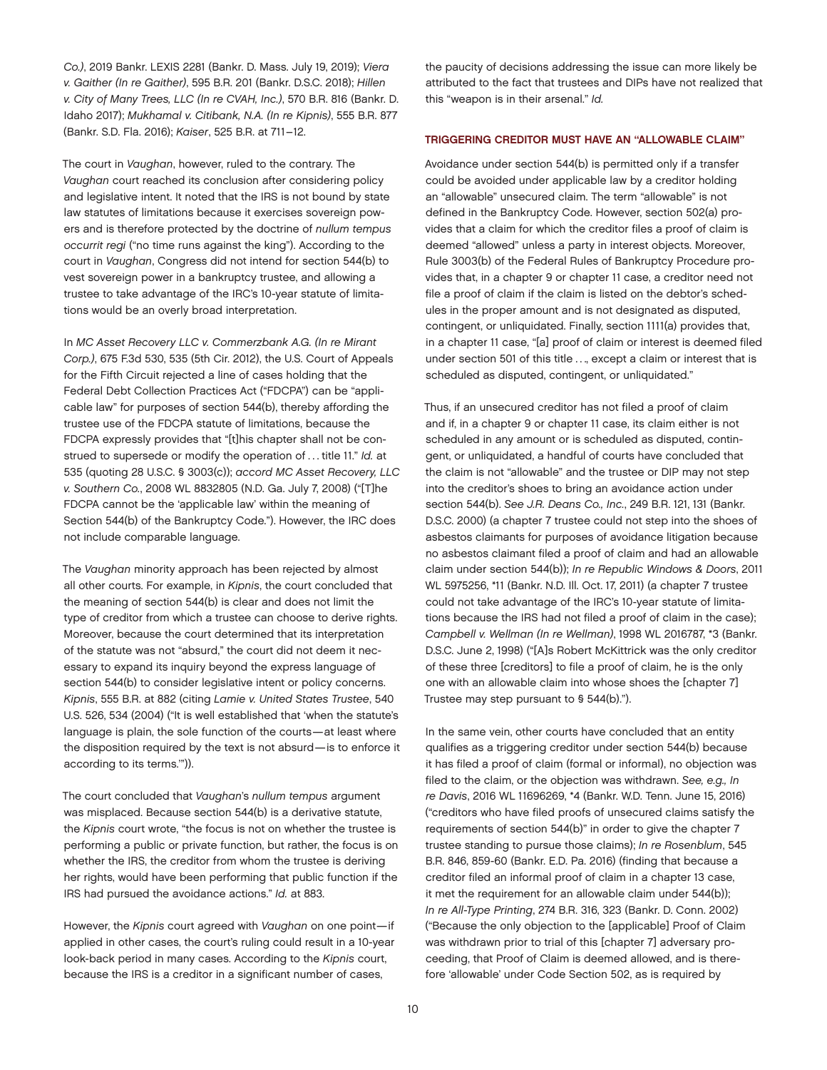*Co.)*, 2019 Bankr. LEXIS 2281 (Bankr. D. Mass. July 19, 2019); *Viera v. Gaither (In re Gaither)*, 595 B.R. 201 (Bankr. D.S.C. 2018); *Hillen v. City of Many Trees, LLC (In re CVAH, Inc.)*, 570 B.R. 816 (Bankr. D. Idaho 2017); *Mukhamal v. Citibank, N.A. (In re Kipnis)*, 555 B.R. 877 (Bankr. S.D. Fla. 2016); *Kaiser*, 525 B.R. at 711–12.

The court in *Vaughan*, however, ruled to the contrary. The *Vaughan* court reached its conclusion after considering policy and legislative intent. It noted that the IRS is not bound by state law statutes of limitations because it exercises sovereign powers and is therefore protected by the doctrine of *nullum tempus occurrit regi* ("no time runs against the king"). According to the court in *Vaughan*, Congress did not intend for section 544(b) to vest sovereign power in a bankruptcy trustee, and allowing a trustee to take advantage of the IRC's 10-year statute of limitations would be an overly broad interpretation.

In *MC Asset Recovery LLC v. Commerzbank A.G. (In re Mirant Corp.)*, 675 F.3d 530, 535 (5th Cir. 2012), the U.S. Court of Appeals for the Fifth Circuit rejected a line of cases holding that the Federal Debt Collection Practices Act ("FDCPA") can be "applicable law" for purposes of section 544(b), thereby affording the trustee use of the FDCPA statute of limitations, because the FDCPA expressly provides that "[t]his chapter shall not be construed to supersede or modify the operation of . . . title 11." *Id.* at 535 (quoting 28 U.S.C. § 3003(c)); *accord MC Asset Recovery, LLC v. Southern Co.*, 2008 WL 8832805 (N.D. Ga. July 7, 2008) ("[T]he FDCPA cannot be the 'applicable law' within the meaning of Section 544(b) of the Bankruptcy Code."). However, the IRC does not include comparable language.

The *Vaughan* minority approach has been rejected by almost all other courts. For example, in *Kipnis*, the court concluded that the meaning of section 544(b) is clear and does not limit the type of creditor from which a trustee can choose to derive rights. Moreover, because the court determined that its interpretation of the statute was not "absurd," the court did not deem it necessary to expand its inquiry beyond the express language of section 544(b) to consider legislative intent or policy concerns. *Kipnis*, 555 B.R. at 882 (citing *Lamie v. United States Trustee*, 540 U.S. 526, 534 (2004) ("It is well established that 'when the statute's language is plain, the sole function of the courts—at least where the disposition required by the text is not absurd—is to enforce it according to its terms.'")).

The court concluded that *Vaughan*'s *nullum tempus* argument was misplaced. Because section 544(b) is a derivative statute, the *Kipnis* court wrote, "the focus is not on whether the trustee is performing a public or private function, but rather, the focus is on whether the IRS, the creditor from whom the trustee is deriving her rights, would have been performing that public function if the IRS had pursued the avoidance actions." *Id.* at 883.

However, the *Kipnis* court agreed with *Vaughan* on one point—if applied in other cases, the court's ruling could result in a 10-year look-back period in many cases. According to the *Kipnis* court, because the IRS is a creditor in a significant number of cases,

the paucity of decisions addressing the issue can more likely be attributed to the fact that trustees and DIPs have not realized that this "weapon is in their arsenal." *Id.*

#### TRIGGERING CREDITOR MUST HAVE AN "ALLOWABLE CLAIM"

Avoidance under section 544(b) is permitted only if a transfer could be avoided under applicable law by a creditor holding an "allowable" unsecured claim. The term "allowable" is not defined in the Bankruptcy Code. However, section 502(a) provides that a claim for which the creditor files a proof of claim is deemed "allowed" unless a party in interest objects. Moreover, Rule 3003(b) of the Federal Rules of Bankruptcy Procedure provides that, in a chapter 9 or chapter 11 case, a creditor need not file a proof of claim if the claim is listed on the debtor's schedules in the proper amount and is not designated as disputed, contingent, or unliquidated. Finally, section 1111(a) provides that, in a chapter 11 case, "[a] proof of claim or interest is deemed filed under section 501 of this title ..., except a claim or interest that is scheduled as disputed, contingent, or unliquidated."

Thus, if an unsecured creditor has not filed a proof of claim and if, in a chapter 9 or chapter 11 case, its claim either is not scheduled in any amount or is scheduled as disputed, contingent, or unliquidated, a handful of courts have concluded that the claim is not "allowable" and the trustee or DIP may not step into the creditor's shoes to bring an avoidance action under section 544(b). *See J.R. Deans Co., Inc.*, 249 B.R. 121, 131 (Bankr. D.S.C. 2000) (a chapter 7 trustee could not step into the shoes of asbestos claimants for purposes of avoidance litigation because no asbestos claimant filed a proof of claim and had an allowable claim under section 544(b)); *In re Republic Windows & Doors*, 2011 WL 5975256, \*11 (Bankr. N.D. Ill. Oct. 17, 2011) (a chapter 7 trustee could not take advantage of the IRC's 10-year statute of limitations because the IRS had not filed a proof of claim in the case); *Campbell v. Wellman (In re Wellman)*, 1998 WL 2016787, \*3 (Bankr. D.S.C. June 2, 1998) ("[A]s Robert McKittrick was the only creditor of these three [creditors] to file a proof of claim, he is the only one with an allowable claim into whose shoes the [chapter 7] Trustee may step pursuant to § 544(b).").

In the same vein, other courts have concluded that an entity qualifies as a triggering creditor under section 544(b) because it has filed a proof of claim (formal or informal), no objection was filed to the claim, or the objection was withdrawn. *See, e.g., In re Davis*, 2016 WL 11696269, \*4 (Bankr. W.D. Tenn. June 15, 2016) ("creditors who have filed proofs of unsecured claims satisfy the requirements of section 544(b)" in order to give the chapter 7 trustee standing to pursue those claims); *In re Rosenblum*, 545 B.R. 846, 859-60 (Bankr. E.D. Pa. 2016) (finding that because a creditor filed an informal proof of claim in a chapter 13 case, it met the requirement for an allowable claim under 544(b)); *In re All-Type Printing*, 274 B.R. 316, 323 (Bankr. D. Conn. 2002) ("Because the only objection to the [applicable] Proof of Claim was withdrawn prior to trial of this [chapter 7] adversary proceeding, that Proof of Claim is deemed allowed, and is therefore 'allowable' under Code Section 502, as is required by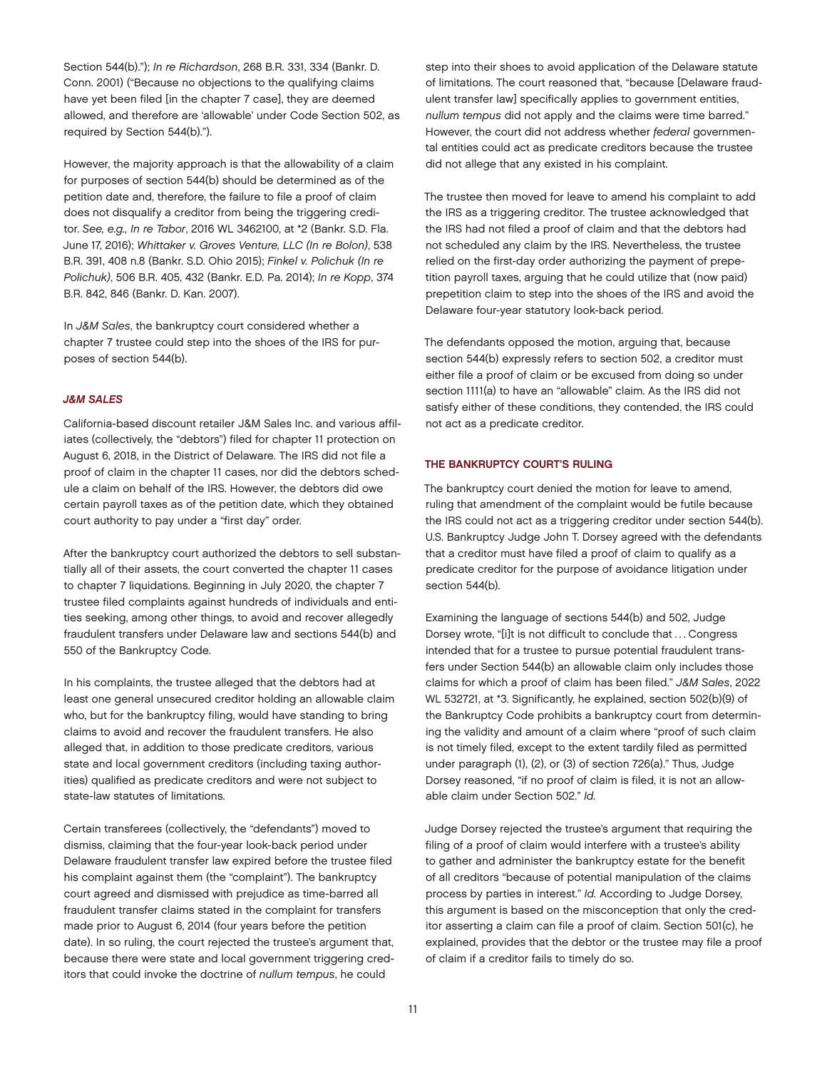Section 544(b)."); *In re Richardson*, 268 B.R. 331, 334 (Bankr. D. Conn. 2001) ("Because no objections to the qualifying claims have yet been filed [in the chapter 7 case], they are deemed allowed, and therefore are 'allowable' under Code Section 502, as required by Section 544(b).").

However, the majority approach is that the allowability of a claim for purposes of section 544(b) should be determined as of the petition date and, therefore, the failure to file a proof of claim does not disqualify a creditor from being the triggering creditor. *See, e.g., In re Tabor*, 2016 WL 3462100, at \*2 (Bankr. S.D. Fla. June 17, 2016); *Whittaker v. Groves Venture, LLC (In re Bolon)*, 538 B.R. 391, 408 n.8 (Bankr. S.D. Ohio 2015); *Finkel v. Polichuk (In re Polichuk)*, 506 B.R. 405, 432 (Bankr. E.D. Pa. 2014); *In re Kopp*, 374 B.R. 842, 846 (Bankr. D. Kan. 2007).

In *J&M Sales*, the bankruptcy court considered whether a chapter 7 trustee could step into the shoes of the IRS for purposes of section 544(b).

#### *J&M SALES*

California-based discount retailer J&M Sales Inc. and various affiliates (collectively, the "debtors") filed for chapter 11 protection on August 6, 2018, in the District of Delaware. The IRS did not file a proof of claim in the chapter 11 cases, nor did the debtors schedule a claim on behalf of the IRS. However, the debtors did owe certain payroll taxes as of the petition date, which they obtained court authority to pay under a "first day" order.

After the bankruptcy court authorized the debtors to sell substantially all of their assets, the court converted the chapter 11 cases to chapter 7 liquidations. Beginning in July 2020, the chapter 7 trustee filed complaints against hundreds of individuals and entities seeking, among other things, to avoid and recover allegedly fraudulent transfers under Delaware law and sections 544(b) and 550 of the Bankruptcy Code.

In his complaints, the trustee alleged that the debtors had at least one general unsecured creditor holding an allowable claim who, but for the bankruptcy filing, would have standing to bring claims to avoid and recover the fraudulent transfers. He also alleged that, in addition to those predicate creditors, various state and local government creditors (including taxing authorities) qualified as predicate creditors and were not subject to state-law statutes of limitations.

Certain transferees (collectively, the "defendants") moved to dismiss, claiming that the four-year look-back period under Delaware fraudulent transfer law expired before the trustee filed his complaint against them (the "complaint"). The bankruptcy court agreed and dismissed with prejudice as time-barred all fraudulent transfer claims stated in the complaint for transfers made prior to August 6, 2014 (four years before the petition date). In so ruling, the court rejected the trustee's argument that, because there were state and local government triggering creditors that could invoke the doctrine of *nullum tempus*, he could

step into their shoes to avoid application of the Delaware statute of limitations. The court reasoned that, "because [Delaware fraudulent transfer law] specifically applies to government entities, *nullum tempus* did not apply and the claims were time barred." However, the court did not address whether *federal* governmental entities could act as predicate creditors because the trustee did not allege that any existed in his complaint.

The trustee then moved for leave to amend his complaint to add the IRS as a triggering creditor. The trustee acknowledged that the IRS had not filed a proof of claim and that the debtors had not scheduled any claim by the IRS. Nevertheless, the trustee relied on the first-day order authorizing the payment of prepetition payroll taxes, arguing that he could utilize that (now paid) prepetition claim to step into the shoes of the IRS and avoid the Delaware four-year statutory look-back period.

The defendants opposed the motion, arguing that, because section 544(b) expressly refers to section 502, a creditor must either file a proof of claim or be excused from doing so under section 1111(a) to have an "allowable" claim. As the IRS did not satisfy either of these conditions, they contended, the IRS could not act as a predicate creditor.

#### THE BANKRUPTCY COURT'S RULING

The bankruptcy court denied the motion for leave to amend, ruling that amendment of the complaint would be futile because the IRS could not act as a triggering creditor under section 544(b). U.S. Bankruptcy Judge John T. Dorsey agreed with the defendants that a creditor must have filed a proof of claim to qualify as a predicate creditor for the purpose of avoidance litigation under section 544(b).

Examining the language of sections 544(b) and 502, Judge Dorsey wrote, "[i]t is not difficult to conclude that . . . Congress intended that for a trustee to pursue potential fraudulent transfers under Section 544(b) an allowable claim only includes those claims for which a proof of claim has been filed." *J&M Sales*, 2022 WL 532721, at \*3. Significantly, he explained, section 502(b)(9) of the Bankruptcy Code prohibits a bankruptcy court from determining the validity and amount of a claim where "proof of such claim is not timely filed, except to the extent tardily filed as permitted under paragraph (1), (2), or (3) of section 726(a)." Thus, Judge Dorsey reasoned, "if no proof of claim is filed, it is not an allowable claim under Section 502." *Id.*

Judge Dorsey rejected the trustee's argument that requiring the filing of a proof of claim would interfere with a trustee's ability to gather and administer the bankruptcy estate for the benefit of all creditors "because of potential manipulation of the claims process by parties in interest." *Id.* According to Judge Dorsey, this argument is based on the misconception that only the creditor asserting a claim can file a proof of claim. Section 501(c), he explained, provides that the debtor or the trustee may file a proof of claim if a creditor fails to timely do so.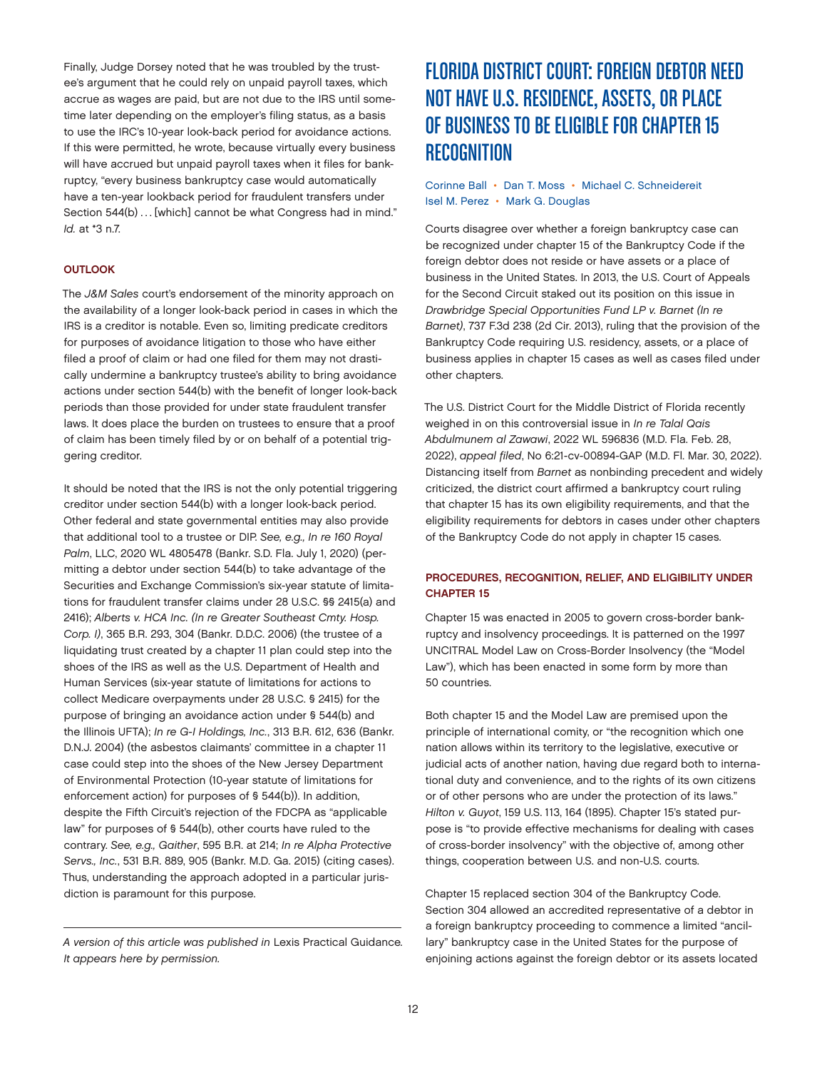<span id="page-11-0"></span>Finally, Judge Dorsey noted that he was troubled by the trustee's argument that he could rely on unpaid payroll taxes, which accrue as wages are paid, but are not due to the IRS until sometime later depending on the employer's filing status, as a basis to use the IRC's 10-year look-back period for avoidance actions. If this were permitted, he wrote, because virtually every business will have accrued but unpaid payroll taxes when it files for bankruptcy, "every business bankruptcy case would automatically have a ten-year lookback period for fraudulent transfers under Section 544(b) ... [which] cannot be what Congress had in mind." *Id.* at \*3 n.7.

#### **OUTLOOK**

The *J&M Sales* court's endorsement of the minority approach on the availability of a longer look-back period in cases in which the IRS is a creditor is notable. Even so, limiting predicate creditors for purposes of avoidance litigation to those who have either filed a proof of claim or had one filed for them may not drastically undermine a bankruptcy trustee's ability to bring avoidance actions under section 544(b) with the benefit of longer look-back periods than those provided for under state fraudulent transfer laws. It does place the burden on trustees to ensure that a proof of claim has been timely filed by or on behalf of a potential triggering creditor.

It should be noted that the IRS is not the only potential triggering creditor under section 544(b) with a longer look-back period. Other federal and state governmental entities may also provide that additional tool to a trustee or DIP. *See, e.g., In re 160 Royal Palm*, LLC, 2020 WL 4805478 (Bankr. S.D. Fla. July 1, 2020) (permitting a debtor under section 544(b) to take advantage of the Securities and Exchange Commission's six-year statute of limitations for fraudulent transfer claims under 28 U.S.C. §§ 2415(a) and 2416); *Alberts v. HCA Inc. (In re Greater Southeast Cmty. Hosp. Corp. I)*, 365 B.R. 293, 304 (Bankr. D.D.C. 2006) (the trustee of a liquidating trust created by a chapter 11 plan could step into the shoes of the IRS as well as the U.S. Department of Health and Human Services (six-year statute of limitations for actions to collect Medicare overpayments under 28 U.S.C. § 2415) for the purpose of bringing an avoidance action under § 544(b) and the Illinois UFTA); *In re G-I Holdings, Inc.*, 313 B.R. 612, 636 (Bankr. D.N.J. 2004) (the asbestos claimants' committee in a chapter 11 case could step into the shoes of the New Jersey Department of Environmental Protection (10-year statute of limitations for enforcement action) for purposes of § 544(b)). In addition, despite the Fifth Circuit's rejection of the FDCPA as "applicable law" for purposes of § 544(b), other courts have ruled to the contrary. *See, e.g., Gaither*, 595 B.R. at 214; *In re Alpha Protective Servs., Inc.*, 531 B.R. 889, 905 (Bankr. M.D. Ga. 2015) (citing cases). Thus, understanding the approach adopted in a particular jurisdiction is paramount for this purpose.

# FLORIDA DISTRICT COURT: FOREIGN DEBTOR NEED NOT HAVE U.S. RESIDENCE, ASSETS, OR PLACE OF BUSINESS TO BE ELIGIBLE FOR CHAPTER 15 **RECOGNITION**

#### [Corinne Ball](https://www.jonesday.com/en/lawyers/b/corinne-ball?tab=overview) • [Dan T. Moss](https://www.jonesday.com/en/lawyers/m/dan-moss?tab=overview) • [Michael C. Schneidereit](https://www.jonesday.com/en/lawyers/s/michael-schneidereit?tab=overview) [Isel M. Perez](https://www.jonesday.com/en/lawyers/p/isel-perez?tab=overview) • [Mark G. Douglas](https://www.jonesday.com/en/lawyers/d/mark-douglas?tab=overview)

Courts disagree over whether a foreign bankruptcy case can be recognized under chapter 15 of the Bankruptcy Code if the foreign debtor does not reside or have assets or a place of business in the United States. In 2013, the U.S. Court of Appeals for the Second Circuit staked out its position on this issue in *Drawbridge Special Opportunities Fund LP v. Barnet (In re Barnet)*, 737 F.3d 238 (2d Cir. 2013), ruling that the provision of the Bankruptcy Code requiring U.S. residency, assets, or a place of business applies in chapter 15 cases as well as cases filed under other chapters.

The U.S. District Court for the Middle District of Florida recently weighed in on this controversial issue in *In re Talal Qais Abdulmunem al Zawawi*, 2022 WL 596836 (M.D. Fla. Feb. 28, 2022), *appeal filed*, No 6:21-cv-00894-GAP (M.D. Fl. Mar. 30, 2022). Distancing itself from *Barnet* as nonbinding precedent and widely criticized, the district court affirmed a bankruptcy court ruling that chapter 15 has its own eligibility requirements, and that the eligibility requirements for debtors in cases under other chapters of the Bankruptcy Code do not apply in chapter 15 cases.

#### PROCEDURES, RECOGNITION, RELIEF, AND ELIGIBILITY UNDER CHAPTER 15

Chapter 15 was enacted in 2005 to govern cross-border bankruptcy and insolvency proceedings. It is patterned on the 1997 UNCITRAL Model Law on Cross-Border Insolvency (the "Model Law"), which has been enacted in some form by more than 50 countries.

Both chapter 15 and the Model Law are premised upon the principle of international comity, or "the recognition which one nation allows within its territory to the legislative, executive or judicial acts of another nation, having due regard both to international duty and convenience, and to the rights of its own citizens or of other persons who are under the protection of its laws." *Hilton v. Guyot*, 159 U.S. 113, 164 (1895). Chapter 15's stated purpose is "to provide effective mechanisms for dealing with cases of cross-border insolvency" with the objective of, among other things, cooperation between U.S. and non-U.S. courts.

Chapter 15 replaced section 304 of the Bankruptcy Code. Section 304 allowed an accredited representative of a debtor in a foreign bankruptcy proceeding to commence a limited "ancillary" bankruptcy case in the United States for the purpose of enjoining actions against the foreign debtor or its assets located

*A version of this article was published in* Lexis Practical Guidance*. It appears here by permission.*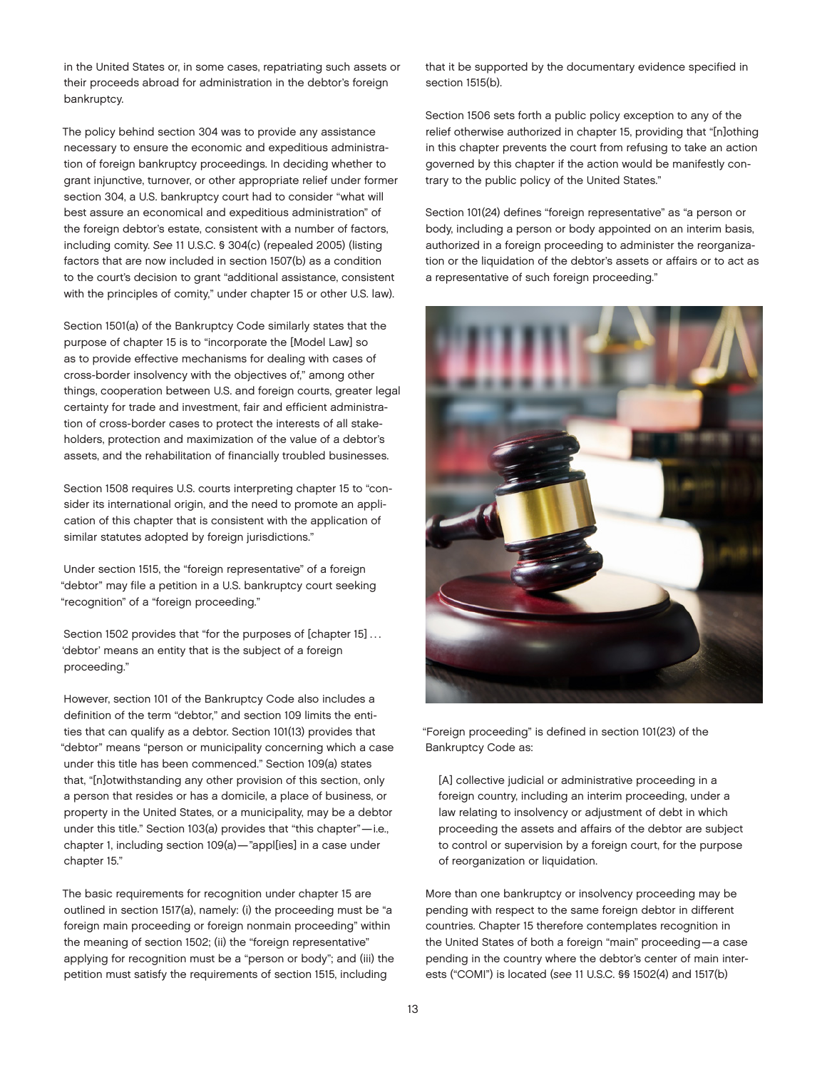in the United States or, in some cases, repatriating such assets or their proceeds abroad for administration in the debtor's foreign bankruptcy.

The policy behind section 304 was to provide any assistance necessary to ensure the economic and expeditious administration of foreign bankruptcy proceedings. In deciding whether to grant injunctive, turnover, or other appropriate relief under former section 304, a U.S. bankruptcy court had to consider "what will best assure an economical and expeditious administration" of the foreign debtor's estate, consistent with a number of factors, including comity. *See* 11 U.S.C. § 304(c) (repealed 2005) (listing factors that are now included in section 1507(b) as a condition to the court's decision to grant "additional assistance, consistent with the principles of comity," under chapter 15 or other U.S. law).

Section 1501(a) of the Bankruptcy Code similarly states that the purpose of chapter 15 is to "incorporate the [Model Law] so as to provide effective mechanisms for dealing with cases of cross-border insolvency with the objectives of," among other things, cooperation between U.S. and foreign courts, greater legal certainty for trade and investment, fair and efficient administration of cross-border cases to protect the interests of all stakeholders, protection and maximization of the value of a debtor's assets, and the rehabilitation of financially troubled businesses.

Section 1508 requires U.S. courts interpreting chapter 15 to "consider its international origin, and the need to promote an application of this chapter that is consistent with the application of similar statutes adopted by foreign jurisdictions."

Under section 1515, the "foreign representative" of a foreign "debtor" may file a petition in a U.S. bankruptcy court seeking "recognition" of a "foreign proceeding."

Section 1502 provides that "for the purposes of [chapter 15]... 'debtor' means an entity that is the subject of a foreign proceeding."

However, section 101 of the Bankruptcy Code also includes a definition of the term "debtor," and section 109 limits the entities that can qualify as a debtor. Section 101(13) provides that "debtor" means "person or municipality concerning which a case under this title has been commenced." Section 109(a) states that, "[n]otwithstanding any other provision of this section, only a person that resides or has a domicile, a place of business, or property in the United States, or a municipality, may be a debtor under this title." Section 103(a) provides that "this chapter"—i.e., chapter 1, including section 109(a)—"appl[ies] in a case under chapter 15."

The basic requirements for recognition under chapter 15 are outlined in section 1517(a), namely: (i) the proceeding must be "a foreign main proceeding or foreign nonmain proceeding" within the meaning of section 1502; (ii) the "foreign representative" applying for recognition must be a "person or body"; and (iii) the petition must satisfy the requirements of section 1515, including

that it be supported by the documentary evidence specified in section 1515(b).

Section 1506 sets forth a public policy exception to any of the relief otherwise authorized in chapter 15, providing that "[n]othing in this chapter prevents the court from refusing to take an action governed by this chapter if the action would be manifestly contrary to the public policy of the United States."

Section 101(24) defines "foreign representative" as "a person or body, including a person or body appointed on an interim basis, authorized in a foreign proceeding to administer the reorganization or the liquidation of the debtor's assets or affairs or to act as a representative of such foreign proceeding."



"Foreign proceeding" is defined in section 101(23) of the Bankruptcy Code as:

[A] collective judicial or administrative proceeding in a foreign country, including an interim proceeding, under a law relating to insolvency or adjustment of debt in which proceeding the assets and affairs of the debtor are subject to control or supervision by a foreign court, for the purpose of reorganization or liquidation.

More than one bankruptcy or insolvency proceeding may be pending with respect to the same foreign debtor in different countries. Chapter 15 therefore contemplates recognition in the United States of both a foreign "main" proceeding—a case pending in the country where the debtor's center of main interests ("COMI") is located (*see* 11 U.S.C. §§ 1502(4) and 1517(b)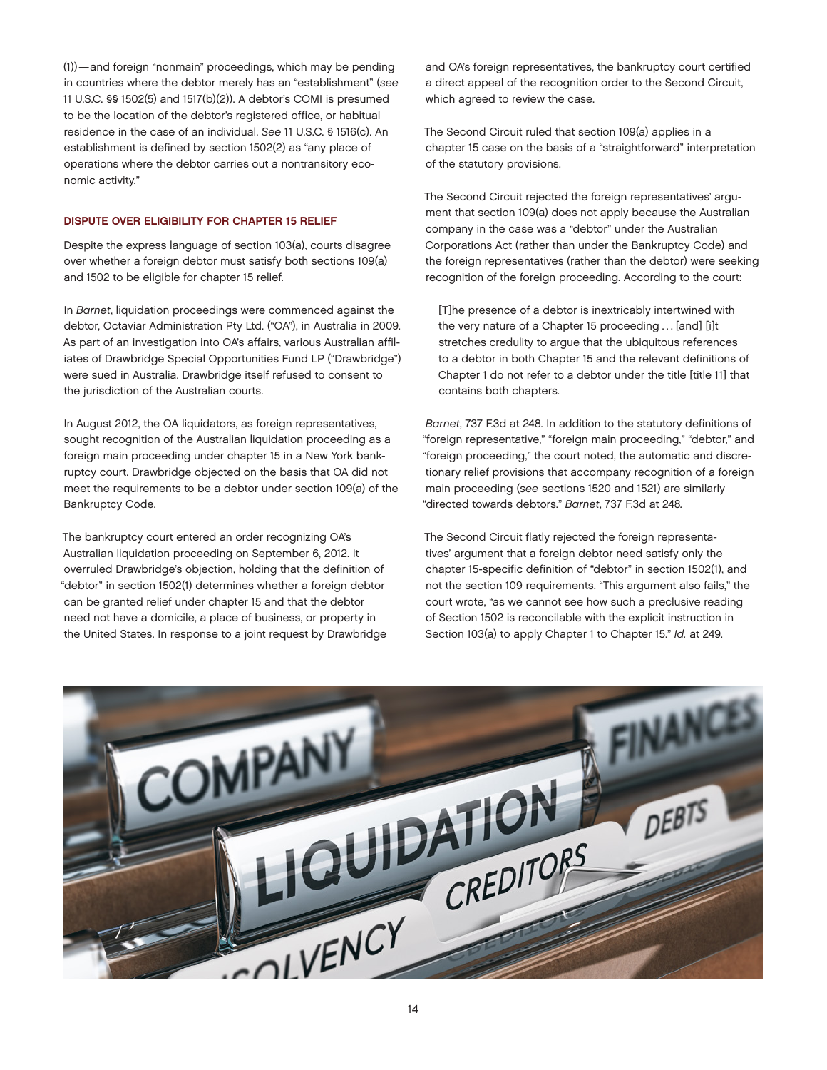(1))—and foreign "nonmain" proceedings, which may be pending in countries where the debtor merely has an "establishment" (*see* 11 U.S.C. §§ 1502(5) and 1517(b)(2)). A debtor's COMI is presumed to be the location of the debtor's registered office, or habitual residence in the case of an individual. *See* 11 U.S.C. § 1516(c). An establishment is defined by section 1502(2) as "any place of operations where the debtor carries out a nontransitory economic activity."

#### DISPUTE OVER ELIGIBILITY FOR CHAPTER 15 RELIEF

Despite the express language of section 103(a), courts disagree over whether a foreign debtor must satisfy both sections 109(a) and 1502 to be eligible for chapter 15 relief.

In *Barnet*, liquidation proceedings were commenced against the debtor, Octaviar Administration Pty Ltd. ("OA"), in Australia in 2009. As part of an investigation into OA's affairs, various Australian affiliates of Drawbridge Special Opportunities Fund LP ("Drawbridge") were sued in Australia. Drawbridge itself refused to consent to the jurisdiction of the Australian courts.

In August 2012, the OA liquidators, as foreign representatives, sought recognition of the Australian liquidation proceeding as a foreign main proceeding under chapter 15 in a New York bankruptcy court. Drawbridge objected on the basis that OA did not meet the requirements to be a debtor under section 109(a) of the Bankruptcy Code.

The bankruptcy court entered an order recognizing OA's Australian liquidation proceeding on September 6, 2012. It overruled Drawbridge's objection, holding that the definition of "debtor" in section 1502(1) determines whether a foreign debtor can be granted relief under chapter 15 and that the debtor need not have a domicile, a place of business, or property in the United States. In response to a joint request by Drawbridge and OA's foreign representatives, the bankruptcy court certified a direct appeal of the recognition order to the Second Circuit, which agreed to review the case.

The Second Circuit ruled that section 109(a) applies in a chapter 15 case on the basis of a "straightforward" interpretation of the statutory provisions.

The Second Circuit rejected the foreign representatives' argument that section 109(a) does not apply because the Australian company in the case was a "debtor" under the Australian Corporations Act (rather than under the Bankruptcy Code) and the foreign representatives (rather than the debtor) were seeking recognition of the foreign proceeding. According to the court:

[T]he presence of a debtor is inextricably intertwined with the very nature of a Chapter 15 proceeding ... [and] [i]t stretches credulity to argue that the ubiquitous references to a debtor in both Chapter 15 and the relevant definitions of Chapter 1 do not refer to a debtor under the title [title 11] that contains both chapters.

*Barnet*, 737 F.3d at 248. In addition to the statutory definitions of "foreign representative," "foreign main proceeding," "debtor," and "foreign proceeding," the court noted, the automatic and discretionary relief provisions that accompany recognition of a foreign main proceeding (*see* sections 1520 and 1521) are similarly "directed towards debtors." *Barnet*, 737 F.3d at 248*.*

The Second Circuit flatly rejected the foreign representatives' argument that a foreign debtor need satisfy only the chapter 15-specific definition of "debtor" in section 1502(1), and not the section 109 requirements. "This argument also fails," the court wrote, "as we cannot see how such a preclusive reading of Section 1502 is reconcilable with the explicit instruction in Section 103(a) to apply Chapter 1 to Chapter 15." *Id.* at 249.

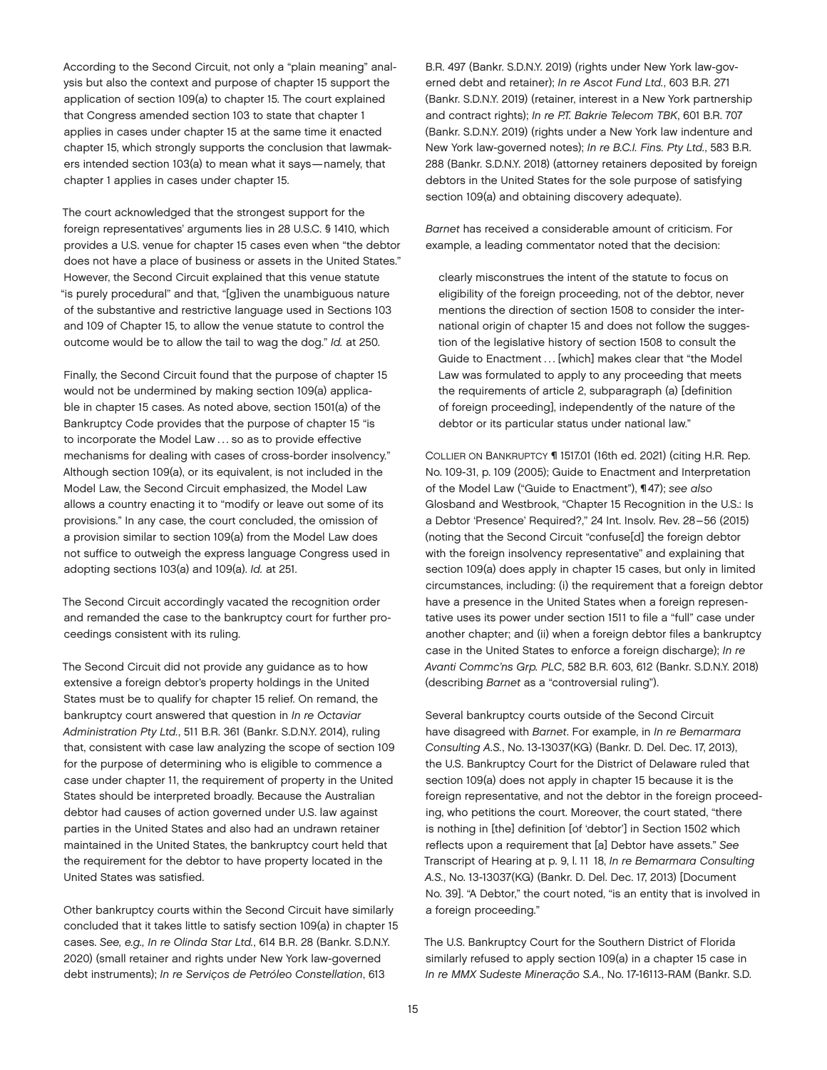According to the Second Circuit, not only a "plain meaning" analysis but also the context and purpose of chapter 15 support the application of section 109(a) to chapter 15. The court explained that Congress amended section 103 to state that chapter 1 applies in cases under chapter 15 at the same time it enacted chapter 15, which strongly supports the conclusion that lawmakers intended section 103(a) to mean what it says—namely, that chapter 1 applies in cases under chapter 15.

The court acknowledged that the strongest support for the foreign representatives' arguments lies in 28 U.S.C. § 1410, which provides a U.S. venue for chapter 15 cases even when "the debtor does not have a place of business or assets in the United States." However, the Second Circuit explained that this venue statute "is purely procedural" and that, "[g]iven the unambiguous nature of the substantive and restrictive language used in Sections 103 and 109 of Chapter 15, to allow the venue statute to control the outcome would be to allow the tail to wag the dog." *Id.* at 250.

Finally, the Second Circuit found that the purpose of chapter 15 would not be undermined by making section 109(a) applicable in chapter 15 cases. As noted above, section 1501(a) of the Bankruptcy Code provides that the purpose of chapter 15 "is to incorporate the Model Law . . . so as to provide effective mechanisms for dealing with cases of cross-border insolvency." Although section 109(a), or its equivalent, is not included in the Model Law, the Second Circuit emphasized, the Model Law allows a country enacting it to "modify or leave out some of its provisions." In any case, the court concluded, the omission of a provision similar to section 109(a) from the Model Law does not suffice to outweigh the express language Congress used in adopting sections 103(a) and 109(a). *Id.* at 251.

The Second Circuit accordingly vacated the recognition order and remanded the case to the bankruptcy court for further proceedings consistent with its ruling.

The Second Circuit did not provide any guidance as to how extensive a foreign debtor's property holdings in the United States must be to qualify for chapter 15 relief. On remand, the bankruptcy court answered that question in *In re Octaviar Administration Pty Ltd.*, 511 B.R. 361 (Bankr. S.D.N.Y. 2014), ruling that, consistent with case law analyzing the scope of section 109 for the purpose of determining who is eligible to commence a case under chapter 11, the requirement of property in the United States should be interpreted broadly. Because the Australian debtor had causes of action governed under U.S. law against parties in the United States and also had an undrawn retainer maintained in the United States, the bankruptcy court held that the requirement for the debtor to have property located in the United States was satisfied.

Other bankruptcy courts within the Second Circuit have similarly concluded that it takes little to satisfy section 109(a) in chapter 15 cases. *See, e.g., In re Olinda Star Ltd.*, 614 B.R. 28 (Bankr. S.D.N.Y. 2020) (small retainer and rights under New York law-governed debt instruments); *In re Serviços de Petróleo Constellation*, 613

B.R. 497 (Bankr. S.D.N.Y. 2019) (rights under New York law-governed debt and retainer); *In re Ascot Fund Ltd.*, 603 B.R. 271 (Bankr. S.D.N.Y. 2019) (retainer, interest in a New York partnership and contract rights); *In re P.T. Bakrie Telecom TBK*, 601 B.R. 707 (Bankr. S.D.N.Y. 2019) (rights under a New York law indenture and New York law-governed notes); *In re B.C.I. Fins. Pty Ltd.*, 583 B.R. 288 (Bankr. S.D.N.Y. 2018) (attorney retainers deposited by foreign debtors in the United States for the sole purpose of satisfying section 109(a) and obtaining discovery adequate).

*Barnet* has received a considerable amount of criticism. For example, a leading commentator noted that the decision:

clearly misconstrues the intent of the statute to focus on eligibility of the foreign proceeding, not of the debtor, never mentions the direction of section 1508 to consider the international origin of chapter 15 and does not follow the suggestion of the legislative history of section 1508 to consult the Guide to Enactment ... [which] makes clear that "the Model Law was formulated to apply to any proceeding that meets the requirements of article 2, subparagraph (a) [definition of foreign proceeding], independently of the nature of the debtor or its particular status under national law."

COLLIER ON BANKRUPTCY ¶ 1517.01 (16th ed. 2021) (citing H.R. Rep. No. 109-31, p. 109 (2005); Guide to Enactment and Interpretation of the Model Law ("Guide to Enactment"), ¶47); *see also* Glosband and Westbrook, "Chapter 15 Recognition in the U.S.: Is a Debtor 'Presence' Required?," 24 Int. Insolv. Rev. 28–56 (2015) (noting that the Second Circuit "confuse[d] the foreign debtor with the foreign insolvency representative" and explaining that section 109(a) does apply in chapter 15 cases, but only in limited circumstances, including: (i) the requirement that a foreign debtor have a presence in the United States when a foreign representative uses its power under section 1511 to file a "full" case under another chapter; and (ii) when a foreign debtor files a bankruptcy case in the United States to enforce a foreign discharge); *In re Avanti Commc'ns Grp. PLC*, 582 B.R. 603, 612 (Bankr. S.D.N.Y. 2018) (describing *Barnet* as a "controversial ruling").

Several bankruptcy courts outside of the Second Circuit have disagreed with *Barnet*. For example, in *In re Bemarmara Consulting A.S.*, No. 13-13037(KG) (Bankr. D. Del. Dec. 17, 2013), the U.S. Bankruptcy Court for the District of Delaware ruled that section 109(a) does not apply in chapter 15 because it is the foreign representative, and not the debtor in the foreign proceeding, who petitions the court. Moreover, the court stated, "there is nothing in [the] definition [of 'debtor'] in Section 1502 which reflects upon a requirement that [a] Debtor have assets." *See* Transcript of Hearing at p. 9, l. 11‒18, *In re Bemarmara Consulting A.S.*, No. 13-13037(KG) (Bankr. D. Del. Dec. 17, 2013) [Document No. 39]. "A Debtor," the court noted, "is an entity that is involved in a foreign proceeding."

The U.S. Bankruptcy Court for the Southern District of Florida similarly refused to apply section 109(a) in a chapter 15 case in *In re MMX Sudeste Mineração S.A.*, No. 17-16113-RAM (Bankr. S.D.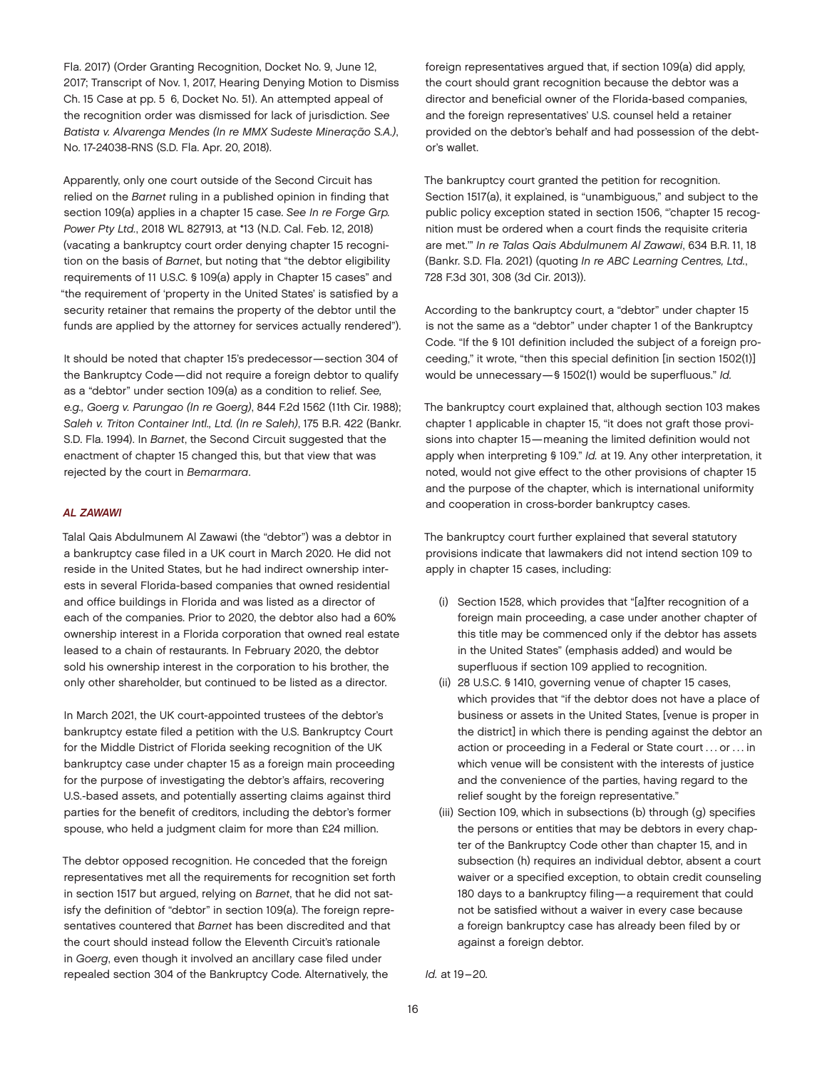Fla. 2017) (Order Granting Recognition, Docket No. 9, June 12, 2017; Transcript of Nov. 1, 2017, Hearing Denying Motion to Dismiss Ch. 15 Case at pp. 5–6, Docket No. 51). An attempted appeal of the recognition order was dismissed for lack of jurisdiction. *See Batista v. Alvarenga Mendes (In re MMX Sudeste Mineração S.A.)*, No. 17-24038-RNS (S.D. Fla. Apr. 20, 2018).

Apparently, only one court outside of the Second Circuit has relied on the *Barnet* ruling in a published opinion in finding that section 109(a) applies in a chapter 15 case. *See In re Forge Grp. Power Pty Ltd.*, 2018 WL 827913, at \*13 (N.D. Cal. Feb. 12, 2018) (vacating a bankruptcy court order denying chapter 15 recognition on the basis of *Barnet*, but noting that "the debtor eligibility requirements of 11 U.S.C. § 109(a) apply in Chapter 15 cases" and "the requirement of 'property in the United States' is satisfied by a security retainer that remains the property of the debtor until the funds are applied by the attorney for services actually rendered").

It should be noted that chapter 15's predecessor—section 304 of the Bankruptcy Code—did not require a foreign debtor to qualify as a "debtor" under section 109(a) as a condition to relief. *See, e.g., Goerg v. Parungao (In re Goerg)*, 844 F.2d 1562 (11th Cir. 1988); *Saleh v. Triton Container Intl., Ltd. (In re Saleh)*, 175 B.R. 422 (Bankr. S.D. Fla. 1994). In *Barnet*, the Second Circuit suggested that the enactment of chapter 15 changed this, but that view that was rejected by the court in *Bemarmara*.

#### *AL ZAWAWI*

Talal Qais Abdulmunem Al Zawawi (the "debtor") was a debtor in a bankruptcy case filed in a UK court in March 2020. He did not reside in the United States, but he had indirect ownership interests in several Florida-based companies that owned residential and office buildings in Florida and was listed as a director of each of the companies. Prior to 2020, the debtor also had a 60% ownership interest in a Florida corporation that owned real estate leased to a chain of restaurants. In February 2020, the debtor sold his ownership interest in the corporation to his brother, the only other shareholder, but continued to be listed as a director.

In March 2021, the UK court-appointed trustees of the debtor's bankruptcy estate filed a petition with the U.S. Bankruptcy Court for the Middle District of Florida seeking recognition of the UK bankruptcy case under chapter 15 as a foreign main proceeding for the purpose of investigating the debtor's affairs, recovering U.S.-based assets, and potentially asserting claims against third parties for the benefit of creditors, including the debtor's former spouse, who held a judgment claim for more than £24 million.

The debtor opposed recognition. He conceded that the foreign representatives met all the requirements for recognition set forth in section 1517 but argued, relying on *Barnet*, that he did not satisfy the definition of "debtor" in section 109(a). The foreign representatives countered that *Barnet* has been discredited and that the court should instead follow the Eleventh Circuit's rationale in *Goerg*, even though it involved an ancillary case filed under repealed section 304 of the Bankruptcy Code. Alternatively, the

foreign representatives argued that, if section 109(a) did apply, the court should grant recognition because the debtor was a director and beneficial owner of the Florida-based companies, and the foreign representatives' U.S. counsel held a retainer provided on the debtor's behalf and had possession of the debtor's wallet.

The bankruptcy court granted the petition for recognition. Section 1517(a), it explained, is "unambiguous," and subject to the public policy exception stated in section 1506, "'chapter 15 recognition must be ordered when a court finds the requisite criteria are met.'" *In re Talas Qais Abdulmunem Al Zawawi*, 634 B.R. 11, 18 (Bankr. S.D. Fla. 2021) (quoting *In re ABC Learning Centres, Ltd.*, 728 F.3d 301, 308 (3d Cir. 2013)).

According to the bankruptcy court, a "debtor" under chapter 15 is not the same as a "debtor" under chapter 1 of the Bankruptcy Code. "If the § 101 definition included the subject of a foreign proceeding," it wrote, "then this special definition [in section 1502(1)] would be unnecessary—§ 1502(1) would be superfluous." *Id.*

The bankruptcy court explained that, although section 103 makes chapter 1 applicable in chapter 15, "it does not graft those provisions into chapter 15—meaning the limited definition would not apply when interpreting § 109." *Id.* at 19. Any other interpretation, it noted, would not give effect to the other provisions of chapter 15 and the purpose of the chapter, which is international uniformity and cooperation in cross-border bankruptcy cases.

The bankruptcy court further explained that several statutory provisions indicate that lawmakers did not intend section 109 to apply in chapter 15 cases, including:

- (i) Section 1528, which provides that "[a]fter recognition of a foreign main proceeding, a case under another chapter of this title may be commenced only if the debtor has assets in the United States" (emphasis added) and would be superfluous if section 109 applied to recognition.
- (ii) 28 U.S.C. § 1410, governing venue of chapter 15 cases, which provides that "if the debtor does not have a place of business or assets in the United States, [venue is proper in the district] in which there is pending against the debtor an action or proceeding in a Federal or State court ... or ... in which venue will be consistent with the interests of justice and the convenience of the parties, having regard to the relief sought by the foreign representative."
- (iii) Section 109, which in subsections (b) through (g) specifies the persons or entities that may be debtors in every chapter of the Bankruptcy Code other than chapter 15, and in subsection (h) requires an individual debtor, absent a court waiver or a specified exception, to obtain credit counseling 180 days to a bankruptcy filing—a requirement that could not be satisfied without a waiver in every case because a foreign bankruptcy case has already been filed by or against a foreign debtor.

*Id.* at 19–20.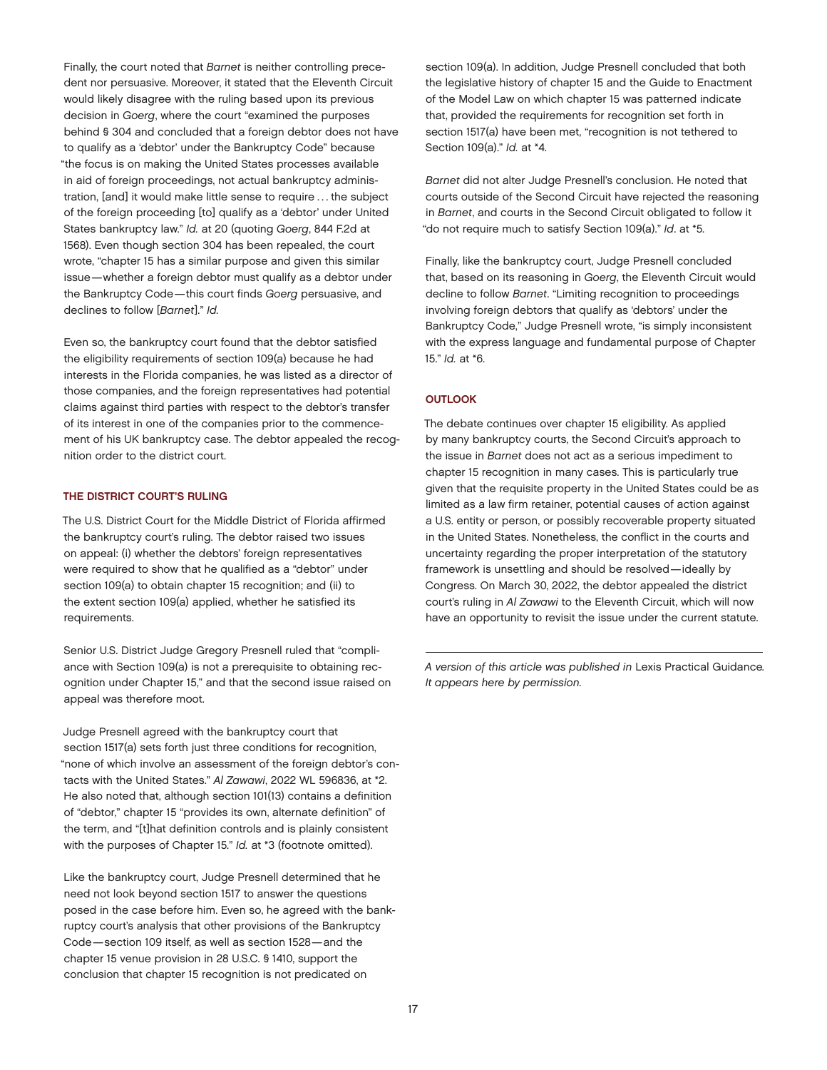Finally, the court noted that *Barnet* is neither controlling precedent nor persuasive. Moreover, it stated that the Eleventh Circuit would likely disagree with the ruling based upon its previous decision in *Goerg*, where the court "examined the purposes behind § 304 and concluded that a foreign debtor does not have to qualify as a 'debtor' under the Bankruptcy Code" because "the focus is on making the United States processes available in aid of foreign proceedings, not actual bankruptcy administration, [and] it would make little sense to require . . . the subject of the foreign proceeding [to] qualify as a 'debtor' under United States bankruptcy law." *Id.* at 20 (quoting *Goerg*, 844 F.2d at 1568). Even though section 304 has been repealed, the court wrote, "chapter 15 has a similar purpose and given this similar issue—whether a foreign debtor must qualify as a debtor under the Bankruptcy Code—this court finds *Goerg* persuasive, and declines to follow [*Barnet*]." *Id.*

Even so, the bankruptcy court found that the debtor satisfied the eligibility requirements of section 109(a) because he had interests in the Florida companies, he was listed as a director of those companies, and the foreign representatives had potential claims against third parties with respect to the debtor's transfer of its interest in one of the companies prior to the commencement of his UK bankruptcy case. The debtor appealed the recognition order to the district court.

#### THE DISTRICT COURT'S RULING

The U.S. District Court for the Middle District of Florida affirmed the bankruptcy court's ruling. The debtor raised two issues on appeal: (i) whether the debtors' foreign representatives were required to show that he qualified as a "debtor" under section 109(a) to obtain chapter 15 recognition; and (ii) to the extent section 109(a) applied, whether he satisfied its requirements.

Senior U.S. District Judge Gregory Presnell ruled that "compliance with Section 109(a) is not a prerequisite to obtaining recognition under Chapter 15," and that the second issue raised on appeal was therefore moot.

Judge Presnell agreed with the bankruptcy court that section 1517(a) sets forth just three conditions for recognition, "none of which involve an assessment of the foreign debtor's contacts with the United States." *Al Zawawi*, 2022 WL 596836, at \*2. He also noted that, although section 101(13) contains a definition of "debtor," chapter 15 "provides its own, alternate definition" of the term, and "[t]hat definition controls and is plainly consistent with the purposes of Chapter 15." *Id.* at \*3 (footnote omitted).

Like the bankruptcy court, Judge Presnell determined that he need not look beyond section 1517 to answer the questions posed in the case before him. Even so, he agreed with the bankruptcy court's analysis that other provisions of the Bankruptcy Code—section 109 itself, as well as section 1528—and the chapter 15 venue provision in 28 U.S.C. § 1410, support the conclusion that chapter 15 recognition is not predicated on

section 109(a). In addition, Judge Presnell concluded that both the legislative history of chapter 15 and the Guide to Enactment of the Model Law on which chapter 15 was patterned indicate that, provided the requirements for recognition set forth in section 1517(a) have been met, "recognition is not tethered to Section 109(a)." *Id.* at \*4.

*Barnet* did not alter Judge Presnell's conclusion. He noted that courts outside of the Second Circuit have rejected the reasoning in *Barnet*, and courts in the Second Circuit obligated to follow it "do not require much to satisfy Section 109(a)." *Id*. at \*5.

Finally, like the bankruptcy court, Judge Presnell concluded that, based on its reasoning in *Goerg*, the Eleventh Circuit would decline to follow *Barnet*. "Limiting recognition to proceedings involving foreign debtors that qualify as 'debtors' under the Bankruptcy Code," Judge Presnell wrote, "is simply inconsistent with the express language and fundamental purpose of Chapter 15." *Id.* at \*6.

#### **OUTLOOK**

The debate continues over chapter 15 eligibility. As applied by many bankruptcy courts, the Second Circuit's approach to the issue in *Barnet* does not act as a serious impediment to chapter 15 recognition in many cases. This is particularly true given that the requisite property in the United States could be as limited as a law firm retainer, potential causes of action against a U.S. entity or person, or possibly recoverable property situated in the United States. Nonetheless, the conflict in the courts and uncertainty regarding the proper interpretation of the statutory framework is unsettling and should be resolved—ideally by Congress. On March 30, 2022, the debtor appealed the district court's ruling in *Al Zawawi* to the Eleventh Circuit, which will now have an opportunity to revisit the issue under the current statute.

*A version of this article was published in* Lexis Practical Guidance*. It appears here by permission.*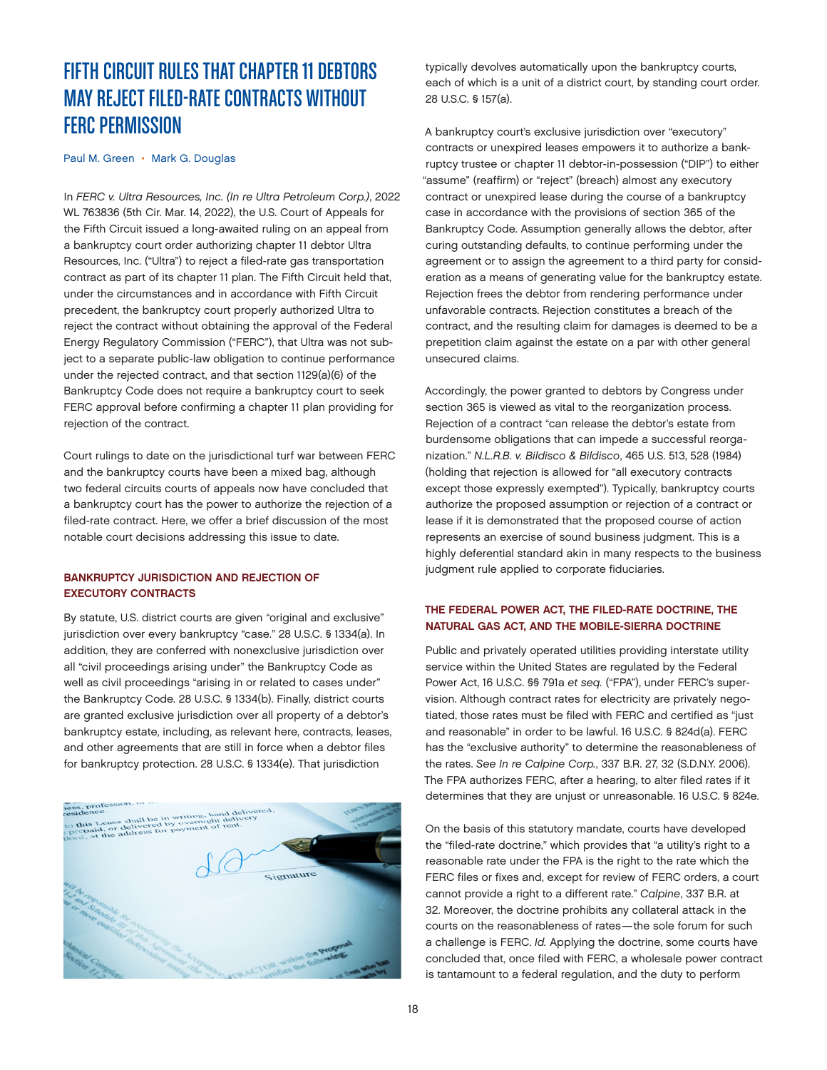# <span id="page-17-0"></span>FIFTH CIRCUIT RULES THAT CHAPTER 11 DEBTORS MAY REJECT FILED-RATE CONTRACTS WITHOUT FERC PERMISSION

[Paul M. Green](https://www.jonesday.com/en/lawyers/g/paul-green?tab=overview) • [Mark G. Douglas](https://www.jonesday.com/en/lawyers/d/mark-douglas?tab=overview)

In *FERC v. Ultra Resources, Inc. (In re Ultra Petroleum Corp.)*, 2022 WL 763836 (5th Cir. Mar. 14, 2022), the U.S. Court of Appeals for the Fifth Circuit issued a long-awaited ruling on an appeal from a bankruptcy court order authorizing chapter 11 debtor Ultra Resources, Inc. ("Ultra") to reject a filed-rate gas transportation contract as part of its chapter 11 plan. The Fifth Circuit held that, under the circumstances and in accordance with Fifth Circuit precedent, the bankruptcy court properly authorized Ultra to reject the contract without obtaining the approval of the Federal Energy Regulatory Commission ("FERC"), that Ultra was not subject to a separate public-law obligation to continue performance under the rejected contract, and that section 1129(a)(6) of the Bankruptcy Code does not require a bankruptcy court to seek FERC approval before confirming a chapter 11 plan providing for rejection of the contract.

Court rulings to date on the jurisdictional turf war between FERC and the bankruptcy courts have been a mixed bag, although two federal circuits courts of appeals now have concluded that a bankruptcy court has the power to authorize the rejection of a filed-rate contract. Here, we offer a brief discussion of the most notable court decisions addressing this issue to date.

#### BANKRUPTCY JURISDICTION AND REJECTION OF EXECUTORY CONTRACTS

By statute, U.S. district courts are given "original and exclusive" jurisdiction over every bankruptcy "case." 28 U.S.C. § 1334(a). In addition, they are conferred with nonexclusive jurisdiction over all "civil proceedings arising under" the Bankruptcy Code as well as civil proceedings "arising in or related to cases under" the Bankruptcy Code. 28 U.S.C. § 1334(b). Finally, district courts are granted exclusive jurisdiction over all property of a debtor's bankruptcy estate, including, as relevant here, contracts, leases, and other agreements that are still in force when a debtor files for bankruptcy protection. 28 U.S.C. § 1334(e). That jurisdiction



typically devolves automatically upon the bankruptcy courts, each of which is a unit of a district court, by standing court order. 28 U.S.C. § 157(a).

A bankruptcy court's exclusive jurisdiction over "executory" contracts or unexpired leases empowers it to authorize a bankruptcy trustee or chapter 11 debtor-in-possession ("DIP") to either "assume" (reaffirm) or "reject" (breach) almost any executory contract or unexpired lease during the course of a bankruptcy case in accordance with the provisions of section 365 of the Bankruptcy Code. Assumption generally allows the debtor, after curing outstanding defaults, to continue performing under the agreement or to assign the agreement to a third party for consideration as a means of generating value for the bankruptcy estate. Rejection frees the debtor from rendering performance under unfavorable contracts. Rejection constitutes a breach of the contract, and the resulting claim for damages is deemed to be a prepetition claim against the estate on a par with other general unsecured claims.

Accordingly, the power granted to debtors by Congress under section 365 is viewed as vital to the reorganization process. Rejection of a contract "can release the debtor's estate from burdensome obligations that can impede a successful reorganization." *N.L.R.B. v. Bildisco & Bildisco*, 465 U.S. 513, 528 (1984) (holding that rejection is allowed for "all executory contracts except those expressly exempted"). Typically, bankruptcy courts authorize the proposed assumption or rejection of a contract or lease if it is demonstrated that the proposed course of action represents an exercise of sound business judgment. This is a highly deferential standard akin in many respects to the business judgment rule applied to corporate fiduciaries.

#### THE FEDERAL POWER ACT, THE FILED-RATE DOCTRINE, THE NATURAL GAS ACT, AND THE MOBILE-SIERRA DOCTRINE

Public and privately operated utilities providing interstate utility service within the United States are regulated by the Federal Power Act, 16 U.S.C. §§ 791a *et seq.* ("FPA"), under FERC's supervision. Although contract rates for electricity are privately negotiated, those rates must be filed with FERC and certified as "just and reasonable" in order to be lawful. 16 U.S.C. § 824d(a). FERC has the "exclusive authority" to determine the reasonableness of the rates. *See In re Calpine Corp.*, 337 B.R. 27, 32 (S.D.N.Y. 2006). The FPA authorizes FERC, after a hearing, to alter filed rates if it determines that they are unjust or unreasonable. 16 U.S.C. § 824e.

On the basis of this statutory mandate, courts have developed the "filed-rate doctrine," which provides that "a utility's right to a reasonable rate under the FPA is the right to the rate which the FERC files or fixes and, except for review of FERC orders, a court cannot provide a right to a different rate." *Calpine*, 337 B.R. at 32. Moreover, the doctrine prohibits any collateral attack in the courts on the reasonableness of rates—the sole forum for such a challenge is FERC. *Id.* Applying the doctrine, some courts have concluded that, once filed with FERC, a wholesale power contract is tantamount to a federal regulation, and the duty to perform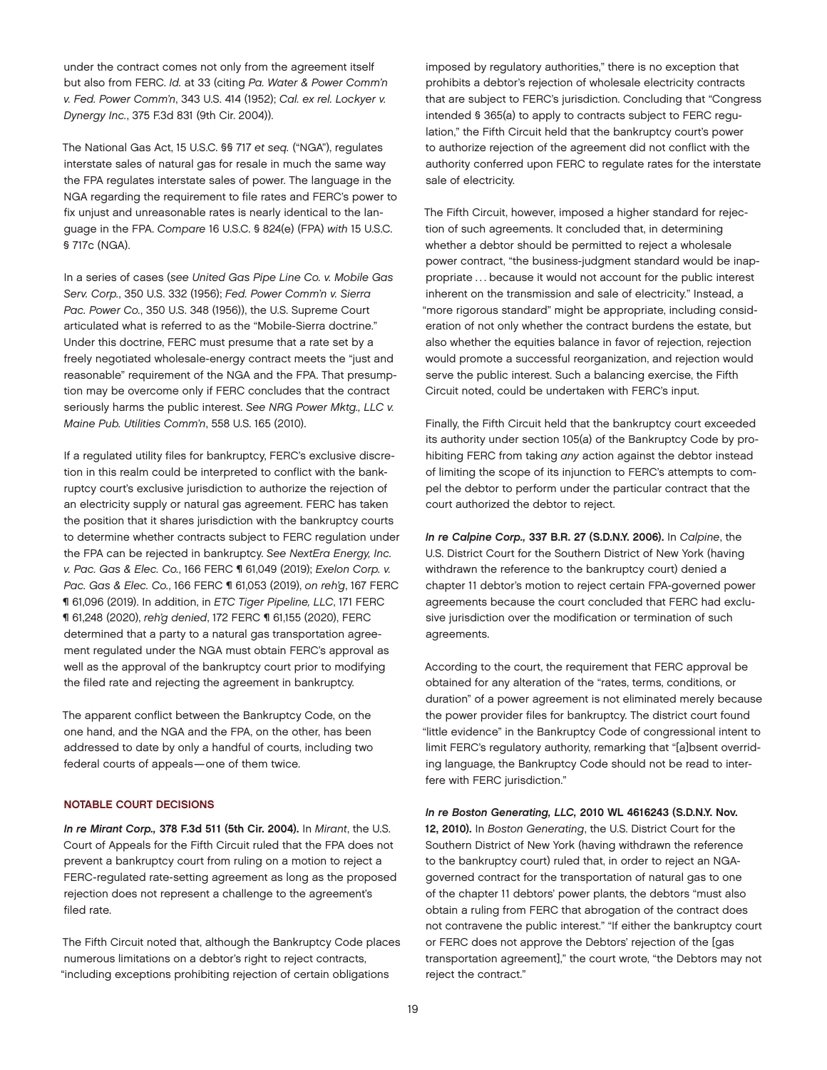under the contract comes not only from the agreement itself but also from FERC. *Id.* at 33 (citing *Pa. Water & Power Comm'n v. Fed. Power Comm'n*, 343 U.S. 414 (1952); *Cal. ex rel. Lockyer v. Dynergy Inc.*, 375 F.3d 831 (9th Cir. 2004)).

The National Gas Act, 15 U.S.C. §§ 717 *et seq.* ("NGA"), regulates interstate sales of natural gas for resale in much the same way the FPA regulates interstate sales of power. The language in the NGA regarding the requirement to file rates and FERC's power to fix unjust and unreasonable rates is nearly identical to the language in the FPA. *Compare* 16 U.S.C. § 824(e) (FPA) *with* 15 U.S.C. § 717c (NGA).

In a series of cases (*see United Gas Pipe Line Co. v. Mobile Gas Serv. Corp.*, 350 U.S. 332 (1956); *Fed. Power Comm'n v. Sierra Pac. Power Co.*, 350 U.S. 348 (1956)), the U.S. Supreme Court articulated what is referred to as the "Mobile-Sierra doctrine." Under this doctrine, FERC must presume that a rate set by a freely negotiated wholesale-energy contract meets the "just and reasonable" requirement of the NGA and the FPA. That presumption may be overcome only if FERC concludes that the contract seriously harms the public interest. *See NRG Power Mktg., LLC v. Maine Pub. Utilities Comm'n*, 558 U.S. 165 (2010).

If a regulated utility files for bankruptcy, FERC's exclusive discretion in this realm could be interpreted to conflict with the bankruptcy court's exclusive jurisdiction to authorize the rejection of an electricity supply or natural gas agreement. FERC has taken the position that it shares jurisdiction with the bankruptcy courts to determine whether contracts subject to FERC regulation under the FPA can be rejected in bankruptcy. *See NextEra Energy, Inc. v. Pac. Gas & Elec. Co.*, 166 FERC ¶ 61,049 (2019); *Exelon Corp. v. Pac. Gas & Elec. Co.*, 166 FERC ¶ 61,053 (2019), *on reh'g*, 167 FERC ¶ 61,096 (2019). In addition, in *ETC Tiger Pipeline, LLC*, 171 FERC ¶ 61,248 (2020), *reh'g denied*, 172 FERC ¶ 61,155 (2020), FERC determined that a party to a natural gas transportation agreement regulated under the NGA must obtain FERC's approval as well as the approval of the bankruptcy court prior to modifying the filed rate and rejecting the agreement in bankruptcy.

The apparent conflict between the Bankruptcy Code, on the one hand, and the NGA and the FPA, on the other, has been addressed to date by only a handful of courts, including two federal courts of appeals—one of them twice.

#### NOTABLE COURT DECISIONS

*In re Mirant Corp.,* 378 F.3d 511 (5th Cir. 2004). In *Mirant*, the U.S. Court of Appeals for the Fifth Circuit ruled that the FPA does not prevent a bankruptcy court from ruling on a motion to reject a FERC-regulated rate-setting agreement as long as the proposed rejection does not represent a challenge to the agreement's filed rate.

The Fifth Circuit noted that, although the Bankruptcy Code places numerous limitations on a debtor's right to reject contracts, "including exceptions prohibiting rejection of certain obligations

imposed by regulatory authorities," there is no exception that prohibits a debtor's rejection of wholesale electricity contracts that are subject to FERC's jurisdiction. Concluding that "Congress intended § 365(a) to apply to contracts subject to FERC regulation," the Fifth Circuit held that the bankruptcy court's power to authorize rejection of the agreement did not conflict with the authority conferred upon FERC to regulate rates for the interstate sale of electricity.

The Fifth Circuit, however, imposed a higher standard for rejection of such agreements. It concluded that, in determining whether a debtor should be permitted to reject a wholesale power contract, "the business-judgment standard would be inappropriate ... because it would not account for the public interest inherent on the transmission and sale of electricity." Instead, a "more rigorous standard" might be appropriate, including consideration of not only whether the contract burdens the estate, but also whether the equities balance in favor of rejection, rejection would promote a successful reorganization, and rejection would serve the public interest. Such a balancing exercise, the Fifth Circuit noted, could be undertaken with FERC's input.

Finally, the Fifth Circuit held that the bankruptcy court exceeded its authority under section 105(a) of the Bankruptcy Code by prohibiting FERC from taking *any* action against the debtor instead of limiting the scope of its injunction to FERC's attempts to compel the debtor to perform under the particular contract that the court authorized the debtor to reject.

*In re Calpine Corp.,* 337 B.R. 27 (S.D.N.Y. 2006). In *Calpine*, the U.S. District Court for the Southern District of New York (having withdrawn the reference to the bankruptcy court) denied a chapter 11 debtor's motion to reject certain FPA-governed power agreements because the court concluded that FERC had exclusive jurisdiction over the modification or termination of such agreements.

According to the court, the requirement that FERC approval be obtained for any alteration of the "rates, terms, conditions, or duration" of a power agreement is not eliminated merely because the power provider files for bankruptcy. The district court found "little evidence" in the Bankruptcy Code of congressional intent to limit FERC's regulatory authority, remarking that "[a]bsent overriding language, the Bankruptcy Code should not be read to interfere with FERC jurisdiction."

#### *In re Boston Generating, LLC,* 2010 WL 4616243 (S.D.N.Y. Nov.

12, 2010). In *Boston Generating*, the U.S. District Court for the Southern District of New York (having withdrawn the reference to the bankruptcy court) ruled that, in order to reject an NGAgoverned contract for the transportation of natural gas to one of the chapter 11 debtors' power plants, the debtors "must also obtain a ruling from FERC that abrogation of the contract does not contravene the public interest." "If either the bankruptcy court or FERC does not approve the Debtors' rejection of the [gas transportation agreement]," the court wrote, "the Debtors may not reject the contract."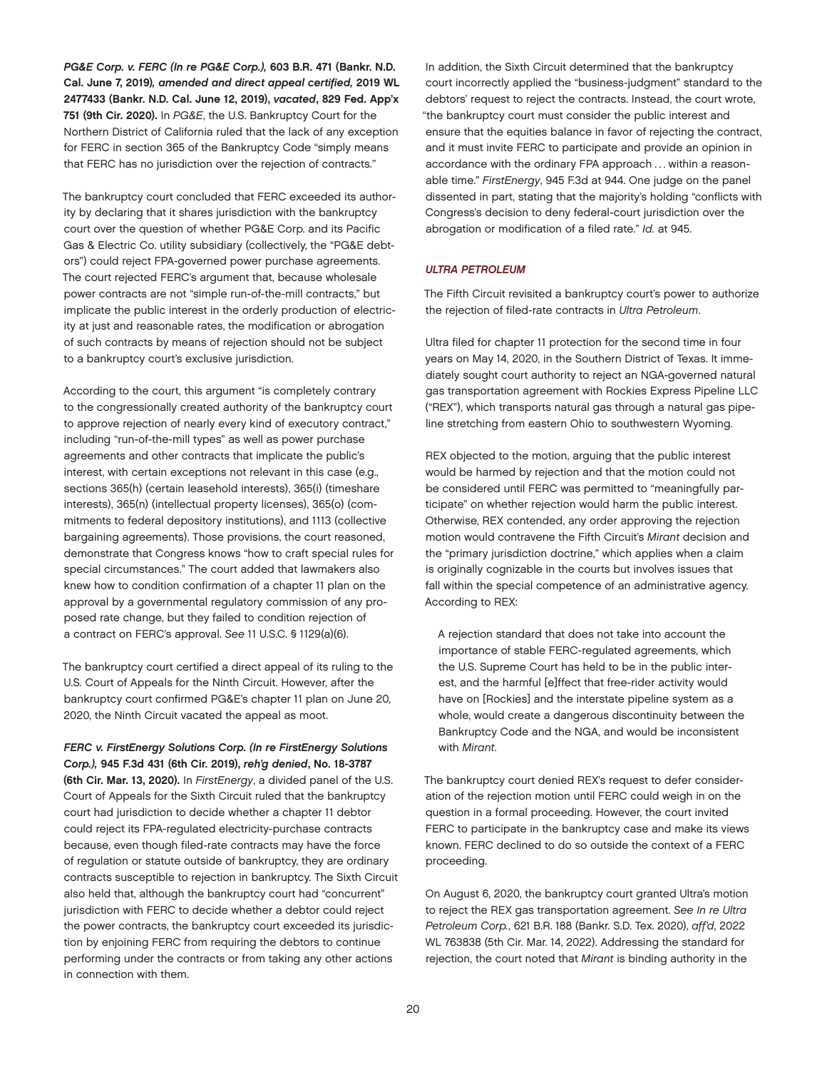*PG&E Corp. v. FERC (In re PG&E Corp.),* 603 B.R. 471 (Bankr. N.D. Cal. June 7, 2019)*, amended and direct appeal certified,* 2019 WL 2477433 (Bankr. N.D. Cal. June 12, 2019), *vacated*, 829 Fed. App'x 751 (9th Cir. 2020). In *PG&E*, the U.S. Bankruptcy Court for the Northern District of California ruled that the lack of any exception for FERC in section 365 of the Bankruptcy Code "simply means that FERC has no jurisdiction over the rejection of contracts."

The bankruptcy court concluded that FERC exceeded its authority by declaring that it shares jurisdiction with the bankruptcy court over the question of whether PG&E Corp. and its Pacific Gas & Electric Co. utility subsidiary (collectively, the "PG&E debtors") could reject FPA-governed power purchase agreements. The court rejected FERC's argument that, because wholesale power contracts are not "simple run-of-the-mill contracts," but implicate the public interest in the orderly production of electricity at just and reasonable rates, the modification or abrogation of such contracts by means of rejection should not be subject to a bankruptcy court's exclusive jurisdiction.

According to the court, this argument "is completely contrary to the congressionally created authority of the bankruptcy court to approve rejection of nearly every kind of executory contract," including "run-of-the-mill types" as well as power purchase agreements and other contracts that implicate the public's interest, with certain exceptions not relevant in this case (e.g., sections 365(h) (certain leasehold interests), 365(i) (timeshare interests), 365(n) (intellectual property licenses), 365(o) (commitments to federal depository institutions), and 1113 (collective bargaining agreements). Those provisions, the court reasoned, demonstrate that Congress knows "how to craft special rules for special circumstances." The court added that lawmakers also knew how to condition confirmation of a chapter 11 plan on the approval by a governmental regulatory commission of any proposed rate change, but they failed to condition rejection of a contract on FERC's approval. *See* 11 U.S.C. § 1129(a)(6).

The bankruptcy court certified a direct appeal of its ruling to the U.S. Court of Appeals for the Ninth Circuit. However, after the bankruptcy court confirmed PG&E's chapter 11 plan on June 20, 2020, the Ninth Circuit vacated the appeal as moot.

*FERC v. FirstEnergy Solutions Corp. (In re FirstEnergy Solutions Corp.),* 945 F.3d 431 (6th Cir. 2019), *reh'g denied*, No. 18-3787 (6th Cir. Mar. 13, 2020). In *FirstEnergy*, a divided panel of the U.S. Court of Appeals for the Sixth Circuit ruled that the bankruptcy court had jurisdiction to decide whether a chapter 11 debtor could reject its FPA-regulated electricity-purchase contracts because, even though filed-rate contracts may have the force of regulation or statute outside of bankruptcy, they are ordinary contracts susceptible to rejection in bankruptcy. The Sixth Circuit also held that, although the bankruptcy court had "concurrent" jurisdiction with FERC to decide whether a debtor could reject the power contracts, the bankruptcy court exceeded its jurisdiction by enjoining FERC from requiring the debtors to continue performing under the contracts or from taking any other actions in connection with them.

In addition, the Sixth Circuit determined that the bankruptcy court incorrectly applied the "business-judgment" standard to the debtors' request to reject the contracts. Instead, the court wrote, "the bankruptcy court must consider the public interest and ensure that the equities balance in favor of rejecting the contract, and it must invite FERC to participate and provide an opinion in accordance with the ordinary FPA approach . . . within a reasonable time." *FirstEnergy*, 945 F.3d at 944. One judge on the panel dissented in part, stating that the majority's holding "conflicts with Congress's decision to deny federal-court jurisdiction over the abrogation or modification of a filed rate." *Id.* at 945.

#### *ULTRA PETROLEUM*

The Fifth Circuit revisited a bankruptcy court's power to authorize the rejection of filed-rate contracts in *Ultra Petroleum*.

Ultra filed for chapter 11 protection for the second time in four years on May 14, 2020, in the Southern District of Texas. It immediately sought court authority to reject an NGA-governed natural gas transportation agreement with Rockies Express Pipeline LLC ("REX"), which transports natural gas through a natural gas pipeline stretching from eastern Ohio to southwestern Wyoming.

REX objected to the motion, arguing that the public interest would be harmed by rejection and that the motion could not be considered until FERC was permitted to "meaningfully participate" on whether rejection would harm the public interest. Otherwise, REX contended, any order approving the rejection motion would contravene the Fifth Circuit's *Mirant* decision and the "primary jurisdiction doctrine," which applies when a claim is originally cognizable in the courts but involves issues that fall within the special competence of an administrative agency. According to REX:

A rejection standard that does not take into account the importance of stable FERC-regulated agreements, which the U.S. Supreme Court has held to be in the public interest, and the harmful [e]ffect that free-rider activity would have on [Rockies] and the interstate pipeline system as a whole, would create a dangerous discontinuity between the Bankruptcy Code and the NGA, and would be inconsistent with *Mirant*.

The bankruptcy court denied REX's request to defer consideration of the rejection motion until FERC could weigh in on the question in a formal proceeding. However, the court invited FERC to participate in the bankruptcy case and make its views known. FERC declined to do so outside the context of a FERC proceeding.

On August 6, 2020, the bankruptcy court granted Ultra's motion to reject the REX gas transportation agreement. *See In re Ultra Petroleum Corp.*, 621 B.R. 188 (Bankr. S.D. Tex. 2020), *aff'd*, 2022 WL 763838 (5th Cir. Mar. 14, 2022). Addressing the standard for rejection, the court noted that *Mirant* is binding authority in the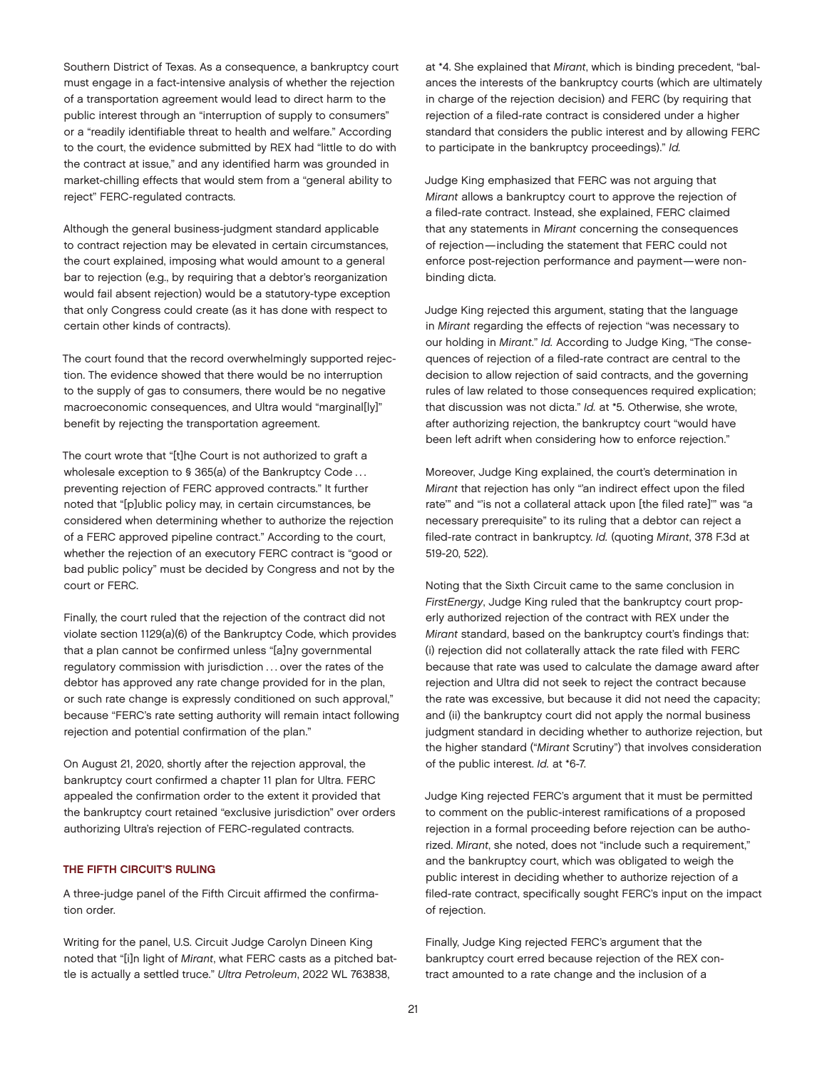Southern District of Texas. As a consequence, a bankruptcy court must engage in a fact-intensive analysis of whether the rejection of a transportation agreement would lead to direct harm to the public interest through an "interruption of supply to consumers" or a "readily identifiable threat to health and welfare." According to the court, the evidence submitted by REX had "little to do with the contract at issue," and any identified harm was grounded in market-chilling effects that would stem from a "general ability to reject" FERC-regulated contracts.

Although the general business-judgment standard applicable to contract rejection may be elevated in certain circumstances, the court explained, imposing what would amount to a general bar to rejection (e.g., by requiring that a debtor's reorganization would fail absent rejection) would be a statutory-type exception that only Congress could create (as it has done with respect to certain other kinds of contracts).

The court found that the record overwhelmingly supported rejection. The evidence showed that there would be no interruption to the supply of gas to consumers, there would be no negative macroeconomic consequences, and Ultra would "marginal[ly]" benefit by rejecting the transportation agreement.

The court wrote that "[t]he Court is not authorized to graft a wholesale exception to § 365(a) of the Bankruptcy Code . . . preventing rejection of FERC approved contracts." It further noted that "[p]ublic policy may, in certain circumstances, be considered when determining whether to authorize the rejection of a FERC approved pipeline contract." According to the court, whether the rejection of an executory FERC contract is "good or bad public policy" must be decided by Congress and not by the court or FERC.

Finally, the court ruled that the rejection of the contract did not violate section 1129(a)(6) of the Bankruptcy Code, which provides that a plan cannot be confirmed unless "[a]ny governmental regulatory commission with jurisdiction ... over the rates of the debtor has approved any rate change provided for in the plan, or such rate change is expressly conditioned on such approval," because "FERC's rate setting authority will remain intact following rejection and potential confirmation of the plan."

On August 21, 2020, shortly after the rejection approval, the bankruptcy court confirmed a chapter 11 plan for Ultra. FERC appealed the confirmation order to the extent it provided that the bankruptcy court retained "exclusive jurisdiction" over orders authorizing Ultra's rejection of FERC-regulated contracts.

#### THE FIFTH CIRCUIT'S RULING

A three-judge panel of the Fifth Circuit affirmed the confirmation order.

Writing for the panel, U.S. Circuit Judge Carolyn Dineen King noted that "[i]n light of *Mirant*, what FERC casts as a pitched battle is actually a settled truce." *Ultra Petroleum*, 2022 WL 763838,

at \*4. She explained that *Mirant*, which is binding precedent, "balances the interests of the bankruptcy courts (which are ultimately in charge of the rejection decision) and FERC (by requiring that rejection of a filed-rate contract is considered under a higher standard that considers the public interest and by allowing FERC to participate in the bankruptcy proceedings)." *Id.*

Judge King emphasized that FERC was not arguing that *Mirant* allows a bankruptcy court to approve the rejection of a filed-rate contract. Instead, she explained, FERC claimed that any statements in *Mirant* concerning the consequences of rejection—including the statement that FERC could not enforce post-rejection performance and payment—were nonbinding dicta.

Judge King rejected this argument, stating that the language in *Mirant* regarding the effects of rejection "was necessary to our holding in *Mirant*." *Id.* According to Judge King, "The consequences of rejection of a filed-rate contract are central to the decision to allow rejection of said contracts, and the governing rules of law related to those consequences required explication; that discussion was not dicta." *Id.* at \*5. Otherwise, she wrote, after authorizing rejection, the bankruptcy court "would have been left adrift when considering how to enforce rejection."

Moreover, Judge King explained, the court's determination in *Mirant* that rejection has only "'an indirect effect upon the filed rate'" and "'is not a collateral attack upon [the filed rate]'" was "a necessary prerequisite" to its ruling that a debtor can reject a filed-rate contract in bankruptcy. *Id.* (quoting *Mirant*, 378 F.3d at 519-20, 522).

Noting that the Sixth Circuit came to the same conclusion in *FirstEnergy*, Judge King ruled that the bankruptcy court properly authorized rejection of the contract with REX under the *Mirant* standard, based on the bankruptcy court's findings that: (i) rejection did not collaterally attack the rate filed with FERC because that rate was used to calculate the damage award after rejection and Ultra did not seek to reject the contract because the rate was excessive, but because it did not need the capacity; and (ii) the bankruptcy court did not apply the normal business judgment standard in deciding whether to authorize rejection, but the higher standard ("*Mirant* Scrutiny") that involves consideration of the public interest. *Id.* at \*6-7.

Judge King rejected FERC's argument that it must be permitted to comment on the public-interest ramifications of a proposed rejection in a formal proceeding before rejection can be authorized. *Mirant*, she noted, does not "include such a requirement," and the bankruptcy court, which was obligated to weigh the public interest in deciding whether to authorize rejection of a filed-rate contract, specifically sought FERC's input on the impact of rejection.

Finally, Judge King rejected FERC's argument that the bankruptcy court erred because rejection of the REX contract amounted to a rate change and the inclusion of a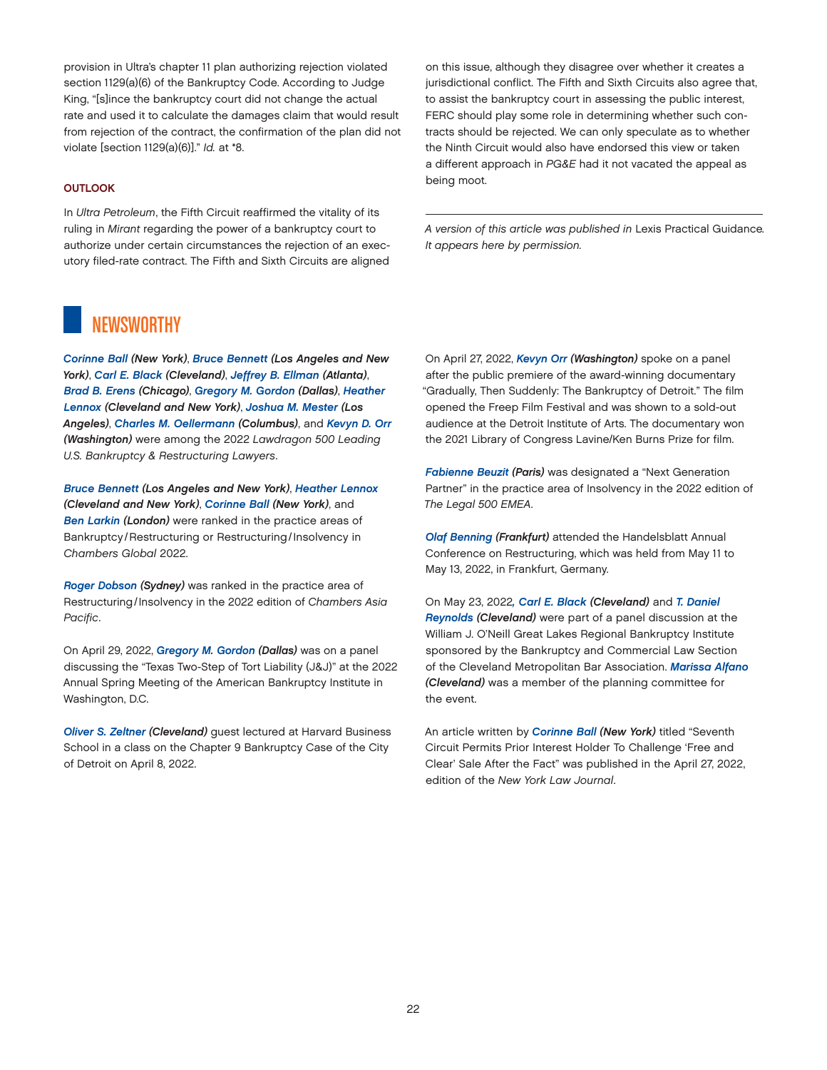<span id="page-21-0"></span>provision in Ultra's chapter 11 plan authorizing rejection violated section 1129(a)(6) of the Bankruptcy Code. According to Judge King, "[s]ince the bankruptcy court did not change the actual rate and used it to calculate the damages claim that would result from rejection of the contract, the confirmation of the plan did not violate [section 1129(a)(6)]." *Id.* at \*8.

#### **OUTLOOK**

In *Ultra Petroleum*, the Fifth Circuit reaffirmed the vitality of its ruling in *Mirant* regarding the power of a bankruptcy court to authorize under certain circumstances the rejection of an executory filed-rate contract. The Fifth and Sixth Circuits are aligned on this issue, although they disagree over whether it creates a jurisdictional conflict. The Fifth and Sixth Circuits also agree that, to assist the bankruptcy court in assessing the public interest, FERC should play some role in determining whether such contracts should be rejected. We can only speculate as to whether the Ninth Circuit would also have endorsed this view or taken a different approach in *PG&E* had it not vacated the appeal as being moot.

*A version of this article was published in* Lexis Practical Guidance*. It appears here by permission.*

# **NEWSWORTHY**

*[Corinne Ball](https://www.jonesday.com/en/lawyers/b/corinne-ball?tab=overview) (New York)*, *[Bruce Bennett](https://www.jonesday.com/en/lawyers/b/bruce-bennett?tab=overview) (Los Angeles and New York)*, *[Carl E. Black](https://www.jonesday.com/en/lawyers/b/carl-black?tab=overview) (Cleveland)*, *[Jeffrey B. Ellman](https://www.jonesday.com/en/lawyers/e/jeffrey-ellman?tab=overview) (Atlanta)*, *[Brad B. Erens](https://www.jonesday.com/en/lawyers/e/brad-erens?tab=overview) (Chicago)*, *[Gregory M. Gordon](https://www.jonesday.com/en/lawyers/g/gregory-gordon?tab=overview) (Dallas)*, *[Heather](https://www.jonesday.com/en/lawyers/l/heather-lennox?tab=overview)  [Lennox](https://www.jonesday.com/en/lawyers/l/heather-lennox?tab=overview) (Cleveland and New York)*, *[Joshua M. Mester](https://www.jonesday.com/en/lawyers/m/joshua-mester?tab=overview) (Los Angeles)*, *[Charles M. Oellermann](https://www.jonesday.com/en/lawyers/o/charles-oellermann?tab=overview) (Columbus)*, and *[Kevyn D. Orr](https://www.jonesday.com/en/lawyers/o/kevyn-orr?tab=overview) (Washington)* were among the 2022 *Lawdragon 500 Leading U.S. Bankruptcy & Restructuring Lawyers*.

*[Bruce Bennett](https://www.jonesday.com/en/lawyers/b/bruce-bennett?tab=overview) (Los Angeles and New York)*, *[Heather Lennox](https://www.jonesday.com/en/lawyers/l/heather-lennox?tab=overview) (Cleveland and New York)*, *[Corinne Ball](https://www.jonesday.com/en/lawyers/b/corinne-ball?tab=overview) (New York)*, and *[Ben Larkin](https://www.jonesday.com/en/lawyers/l/ben-larkin?tab=overview) (London)* were ranked in the practice areas of Bankruptcy /Restructuring or Restructuring/Insolvency in *Chambers Global* 2022.

*[Roger Dobson](https://www.jonesday.com/en/lawyers/d/roger-dobson?tab=overview) (Sydney)* was ranked in the practice area of Restructuring/Insolvency in the 2022 edition of *Chambers Asia Pacific*.

On April 29, 2022, *[Gregory M. Gordon](https://www.jonesday.com/en/lawyers/g/gregory-gordon?tab=overview) (Dallas)* was on a panel discussing the "Texas Two-Step of Tort Liability (J&J)" at the 2022 Annual Spring Meeting of the American Bankruptcy Institute in Washington, D.C.

*[Oliver S. Zeltner](https://www.jonesday.com/en/lawyers/z/oliver-zeltner?tab=overview) (Cleveland)* guest lectured at Harvard Business School in a class on the Chapter 9 Bankruptcy Case of the City of Detroit on April 8, 2022.

On April 27, 2022, *[Kevyn Orr](https://www.jonesday.com/en/lawyers/o/kevyn-orr?tab=overview) (Washington)* spoke on a panel after the public premiere of the award-winning documentary "Gradually, Then Suddenly: The Bankruptcy of Detroit." The film opened the Freep Film Festival and was shown to a sold-out audience at the Detroit Institute of Arts. The documentary won the 2021 Library of Congress Lavine/Ken Burns Prize for film.

*[Fabienne Beuzit](https://www.jonesday.com/en/lawyers/b/fabienne-beuzit?tab=overview) (Paris)* was designated a "Next Generation Partner" in the practice area of Insolvency in the 2022 edition of *The Legal 500 EMEA*.

*[Olaf Benning](https://www.jonesday.com/en/lawyers/b/olaf-benning?tab=overview) (Frankfurt)* attended the Handelsblatt Annual Conference on Restructuring, which was held from May 11 to May 13, 2022, in Frankfurt, Germany.

On May 23, 2022*[, Carl E. Black](https://www.jonesday.com/en/lawyers/b/carl-black?tab=overview) (Cleveland)* and *[T. Daniel](https://www.jonesday.com/en/lawyers/r/t-daniel-reynolds?tab=overview)  [Reynolds](https://www.jonesday.com/en/lawyers/r/t-daniel-reynolds?tab=overview) (Cleveland)* were part of a panel discussion at the William J. O'Neill Great Lakes Regional Bankruptcy Institute sponsored by the Bankruptcy and Commercial Law Section of the Cleveland Metropolitan Bar Association. *[Marissa Alfano](https://www.jonesday.com/en/lawyers/a/marissa-alfano?tab=overview) (Cleveland)* was a member of the planning committee for the event.

An article written by *[Corinne Ball](https://www.jonesday.com/en/lawyers/b/corinne-ball?tab=overview) (New York)* titled "Seventh Circuit Permits Prior Interest Holder To Challenge 'Free and Clear' Sale After the Fact" was published in the April 27, 2022, edition of the *New York Law Journal*.